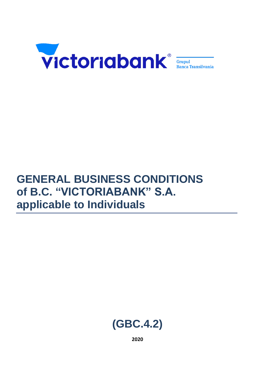

# **GENERAL BUSINESS CONDITIONS of B.C. "VICTORIABANK" S.A. applicable to Individuals**



**2020**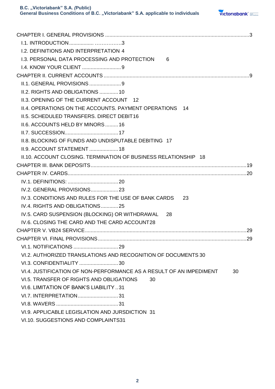

| <b>1.2. DEFINITIONS AND INTERPRETATION 4</b>                        |    |
|---------------------------------------------------------------------|----|
| 1.3. PERSONAL DATA PROCESSING AND PROTECTION<br>6                   |    |
|                                                                     |    |
|                                                                     |    |
| II.1. GENERAL PROVISIONS 9                                          |    |
| II.2. RIGHTS AND OBLIGATIONS 10                                     |    |
| II.3. OPENING OF THE CURRENT ACCOUNT 12                             |    |
| II.4. OPERATIONS ON THE ACCOUNTS. PAYMENT OPERATIONS 14             |    |
| II.5. SCHEDULED TRANSFERS. DIRECT DEBIT16                           |    |
| II.6. ACCOUNTS HELD BY MINORS  16                                   |    |
|                                                                     |    |
| <b>II.8. BLOCKING OF FUNDS AND UNDISPUTABLE DEBITING 17</b>         |    |
| II.9. ACCOUNT STATEMENT 18                                          |    |
| II.10. ACCOUNT CLOSING. TERMINATION OF BUSINESS RELATIONSHIP 18     |    |
|                                                                     |    |
|                                                                     |    |
|                                                                     |    |
| IV.2. GENERAL PROVISIONS 23                                         |    |
| IV.3. CONDITIONS AND RULES FOR THE USE OF BANK CARDS<br>23          |    |
| IV.4. RIGHTS AND OBLIGATIONS25                                      |    |
| IV.5. CARD SUSPENSION (BLOCKING) OR WITHDRAWAL<br>-28               |    |
| IV.6. CLOSING THE CARD AND THE CARD ACCOUNT28                       |    |
|                                                                     |    |
|                                                                     |    |
|                                                                     |    |
| VI.2. AUTHORIZED TRANSLATIONS AND RECOGNITION OF DOCUMENTS 30       |    |
| VI.3. CONFIDENTIALITY  30                                           |    |
| VI.4. JUSTIFICATION OF NON-PERFORMANCE AS A RESULT OF AN IMPEDIMENT | 30 |
| VI.5. TRANSFER OF RIGHTS AND OBLIGATIONS<br>30                      |    |
| VI.6. LIMITATION OF BANK'S LIABILITY 31                             |    |
| VI.7. INTERPRETATION31                                              |    |
|                                                                     |    |
| VI.9. APPLICABLE LEGISLATION AND JURSDICTION 31                     |    |
| VI.10. SUGGESTIONS AND COMPLAINTS31                                 |    |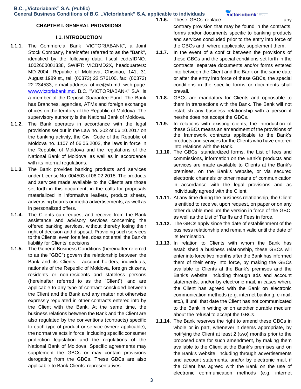victoriabank =

### **CHAPTER I. GENERAL PROVISIONS**

### **I.1. INTRODUCTION**

- **1.1.1.** The Commercial Bank "VICTORIABANK", a Joint Stock Company, hereinafter referred to as the "Bank", identified by the following data: fiscal code/IDNO: 1002600001338, SWIFT: VICBMD2X, headquarters: MD-2004, Republic of Moldova, Chisinau, 141, 31 August 1989 st., tel. (00373) 22 576100, fax: (00373) 22 234533, e-mail address: office@vb.md, web page: www.victoriabank.md. B.C. "VICTORIABANK" S.A. is a member of the Deposit Guarantee Fund. The Bank has Branches, agencies, ATMs and foreign exchange offices on the territory of the Republic of Moldova. The supervisory authority is the National Bank of Moldova.
- **1.1.2.** The Bank operates in accordance with the legal provisions set out in the Law no. 202 of 06.10.2017 on the banking activity, the Civil Code of the Republic of Moldova no. 1107 of 06.06.2002, the laws in force in the Republic of Moldova and the regulations of the National Bank of Moldova, as well as in accordance with its internal regulations.
- **1.1.3.** The Bank provides banking products and services under License No. 004503 of 06.02.2018. The products and services made available to the Clients are those set forth in this document, in the calls for proposals materialized in informative leaflets, product sheets, advertising boards or media advertisements, as well as in personalized offers.
- **1.1.4.** The Clients can request and receive from the Bank assistance and advisory services concerning the offered banking services, without thereby losing their right of decision and disposal. Providing such services to the Clients, even for a fee, does not entail the Bank's liability for Clients' decisions.
- **1.1.5.** The General Business Conditions (hereinafter referred to as the "GBC") govern the relationship between the Bank and its Clients - account holders, individuals, nationals of the Republic of Moldova, foreign citizens, residents or non-residents and stateless persons (hereinafter referred to as the "Client"), and are applicable to any type of contract concluded between the Client and the Bank and any matter not otherwise expressly regulated in other contracts entered into by the Client with the Bank. At the same time, the business relations between the Bank and the Client are also regulated by the conventions (contracts) specific to each type of product or service (where applicable), the normative acts in force, including specific consumer protection legislation and the regulations of the National Bank of Moldova. Specific agreements may supplement the GBCs or may contain provisions derogating from the GBCs. These GBCs are also applicable to Bank Clients' representatives.

**1.1.6.** These GBCs replace **any** any contrary provision that may be found in the contracts, forms and/or documents specific to banking products and services concluded prior to the entry into force of the GBCs and, where applicable, supplement them.

- **1.1.7.** In the event of a conflict between the provisions of these GBCs and the special conditions set forth in the contracts, separate documents and/or forms entered into between the Client and the Bank on the same date or after the entry into force of these GBCs, the special conditions in the specific forms or documents shall prevail.
- **1.1.8.** GBCs are mandatory for Clients and opposable to them in transactions with the Bank. The Bank will not establish any business relationship with a person if he/she does not accept the GBCs.
- **1.1.9.** In relations with existing clients, the introduction of these GBCs means an amendment of the provisions of the framework contracts applicable to the Bank's products and services for the Clients who have entered into relations with the Bank.
- **1.1.10.** The GBCs, standardized forms, the List of fees and commissions, information on the Bank's products and services are made available to Clients at the Bank's premises, on the Bank's website, or via secured electronic channels or other means of communication in accordance with the legal provisions and as individually agreed with the Client.
- **1.1.11.** At any time during the business relationship, the Client is entitled to receive, upon request, on paper or on any other durable medium the version in force of the GBC, as well as the List of Tariffs and Fees in force.
- **1.1.12.** The GBCs apply since the date of establishment of the business relationship and remain valid until the date of its termination.
- **1.1.13.** In relation to Clients with whom the Bank has established a business relationship, these GBCs will enter into force two months after the Bank has informed them of their entry into force, by making the GBCs available to Clients at the Bank's premises and the Bank's website, including through ads and account statements, and/or by electronic mail, in cases where the Client has agreed with the Bank on electronic communication methods (e.g. internet banking, e-mail, etc.), if until that date the Client has not communicated to the Bank in writing or on another durable medium about the refusal to accept the GBCs.
- **1.1.14.** The Bank reserves the right to amend these GBCs in whole or in part, whenever it deems appropriate, by notifying the Client at least 2 (two) months prior to the proposed date for such amendment, by making them available to the Client at the Bank's premises and on the Bank's website, including through advertisements and account statements, and/or by electronic mail, if the Client has agreed with the Bank on the use of electronic communication methods (e.g. internet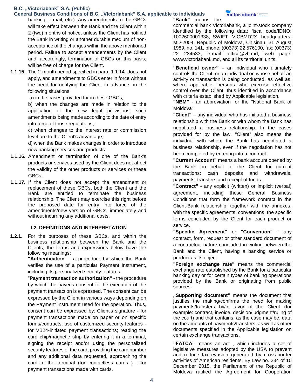### **General Business Conditions of B.C. "Victoriabank" S.A. applicable to individuals**

banking, e-mail, etc.). Any amendments to the GBCs will take effect between the Bank and the Client within 2 (two) months of notice, unless the Client has notified the Bank in writing or another durable medium of nonacceptance of the changes within the above mentioned period. Failure to accept amendements by the Client and, accordingly, termination of GBCs on this basis, will be free of charge for the Client.

**1.1.15.** The 2-month period specified in para. 1.1.14. does not apply, and amendments to GBCs enter in force without the need for notifying the Client in advance, in the following situations:

a) in the cases provided for in these GBCs;

b) when the changes are made in relation to the application of the new legal provisions, such amendments being made according to the date of entry into force of those regulations;

c) when changes to the interest rate or commission level are to the Client's advantage;

d) when the Bank makes changes in order to introduce new banking services and products.

- **1.1.16.** Amendment or termination of one of the Bank's products or services used by the Client does not affect the validity of the other products or services or these GBCs.
- **1.1.17.** If the Client does not accept the amendment or replacement of these GBCs, both the Client and the Bank are entitled to terminate the business relationship. The Client may exercise this right before the proposed date for entry into force of the amendments/new version of GBCs, immediately and without incurring any additional costs.

### **I.2. DEFINITIONS AND INTERPRETATION**

**1.2.1.** For the purposes of these GBCs, and within the business relationship between the Bank and the Clients, the terms and expressions below have the following meanings:

**"Authentication**" - a procedure by which the Bank verifies the use of a particular Payment Instrument, including its personalized security features.

"**Payment transaction authorization"** - the procedure by which the payer's consent to the execution of the payment transaction is expressed. The consent can be expressed by the Client in various ways depending on the Payment Instrument used for the operation. Thus, consent can be expressed by: Client's signature - for payment transactions made on paper or on specific forms/contracts; use of customized security features for VB24-initiated payment transactions; reading the card chip/magnetic strip by entering it in a terminal, signing the receipt and/or using the personalized security features of the card, providing the card number and any additional data requested, approaching the card to the terminal (for contactless cards ) - for payment transactions made with cards.

### **"Bank"** means the

commercial bank Victoriabank, a joint-stock company identified by the following data: fiscal code/IDNO: 1002600001338, SWIFT: VICBMD2X, headquarters: MD-2004, Republic of Moldova, Chisinau, 31 August 1989, no. 141, phone: (00373) 22 576100, fax: (00373) 22 234533, e-mail: office@vb.md, web page: www.victoriabank.md, and all its territorial units.

victoriabank<sup>\*</sup>

**"Beneficial owner"** – an individual who ultimately controls the Client, or an individual on whose behalf an activity or transaction is being conducted, as well as, where applicable, persons who exercise effective control over the Client, thus identified in accordance with criteria established by Applicable legislation.

**"NBM"** - an abbreviation for the "National Bank of Moldova".

**"Client"** – any individual who has initiated a business relationship with the Bank or with whom the Bank has negotiated a business relationship. In the cases provided for by the law, "Client" also means the individual with whom the Bank has negotiated a business relationship, even if the negotiation has not been completed by entering into a contract.

**"Current Account"** means a bank account opened by the Bank on behalf of the Client for current transactions: cash deposits and withdrawals, payments, transfers and receipt of funds.

**"Contract"** - any explicit (written) or implicit (verbal) agreement, including these General Business Conditions that form the framework contract in the Client-Bank relationship, together with the annexes, with the specific agreements, conventions, the specific forms concluded by the Client for each product or service.

**"Specific Agreement"** or **"Convention"** - any contract, form, request or other standard document of a contractual nature concluded in writing between the Bank and the Client, having a banking service or product as its object.

**"Foreign exchange rate"** means the commercial exchange rate established by the Bank for a particular banking day or for certain types of banking operations provided by the Bank or originating from public sources.

**"Supporting document"** means the document that justifies the making/confirms the need for making payments/transfers by/in favor of the Client (for example: contract, invoice, decision/judgment/ruling of the court) and that contains, as the case may be, data on the amounts of payments/transfers, as well as other documents specified in the Applicable legislation on certain exchange transactions.

**"FATCA"** means an act , which includes a set of legislative measures adopted by the USA to prevent and reduce tax evasion generated by cross-border activities of American residents. By Law no. 234 of 10 December 2015, the Parliament of the Republic of Moldova ratified the Agreement for Cooperation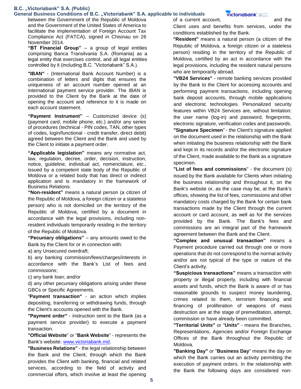#### General Business Conditions of B.C. "Victoriabank" S.A. applicable to individuals

between the Government of the Republic of Moldova and the Government of the United States of America to facilitate the implementation of Foreign Account Tax Compliance Act (FATCA), signed in Chisinau on 26 November 2014.

**"BT Financial Group"** – a group of legal entities comprising Banca Transilvania S.A. (Romania) as a legal entity that exercises control, and all legal entities controlled by it (including B.C. "Victoriabank" S.A.).

**"IBAN"** - (International Bank Account Number) is a combination of letters and digits that ensures the uniqueness of an account number opened at an international payment service provider. The IBAN is provided to the Client by the Bank at the date of opening the account and reference to it is made on each account statement.

**"Payment Instrument"** – Customized device (s) (payment card, mobile phone, etc.) and/or any series of procedures (technical - PIN codes, TAN, other types of codes, login/functional - credit transfer, direct debit) agreed between the Client and the Bank and used by the Client to initiate a payment order.

**"Applicable legislation"** means any normative act, law, regulation, decree, order, decision, instruction, notice, guideline, individual act, nomenclature, etc., issued by a competent state body of the Republic of Moldova or a related body that has direct or indirect application and is mandatory in the framework of Business Relations.

**"Non-resident"** means a natural person (a citizen of the Republic of Moldova, a foreign citizen or a stateless person) who is not domiciled on the territory of the Republic of Moldova, certified by a document in accordance with the legal provisions, including nonresident individuals temporarily residing in the territory of the Republic of Moldova.

**"Pecuniary obligations"** – any amounts owed to the Bank by the Client for or in connection with:

a) any Unsecured overdraft;

b) any banking commission/fees/charges/interests in accordance with the Bank's List of fees and commissions;

c) any bank loan; and/or

d) any other pecuniary obligations arising under these GBCs or Specific Agreements.

"**Payment transaction"** - an action which implies depositing, transferring or withdrawing funds, through the Client's accounts opened with the Bank.

**"Payment order"** - instruction sent to the Bank (as a payment service provider) to execute a payment transaction.

**"Official Website**" or "**Bank Website**" - represents the Bank's website: www.victoriabank.md.

**"Business Relations"** - the legal relationship between the Bank and the Client, through which the Bank provides the Client with banking, financial and related services, according to the field of activity and commercial offers, which involve at least the opening

of a current account, and the

Client uses and benefits from services, under the conditions established by the Bank.

**"Resident"** means a natural person (a citizen of the Republic of Moldova, a foreign citizen or a stateless person) residing in the territory of the Republic of Moldova, certified by an act in accordance with the legal provisions, including the resident natural persons who are temporarily abroad.

**"VB24 Services"** - remote banking services provided by the Bank to the Client for accessing accounts and performing payment transactions, including opening bank deposit accounts, through mobile applications and electronic technologies. Personalized security features within VB24 Services are, without limitation: the user name (log-in) and password, fingerprints, electronic signature, verification codes and passwords. **"Signature Specimen**" - the Client's signature applied on the document used in the relationship with the Bank when initiating the business relationship with the Bank and kept in its records and/or the electronic signature of the Client, made available to the Bank as a signature specimen.

**"List of fees and commissions**" - the document (s) issued by the Bank available for Clients when initiating the business relationship and throughout it, on the Bank's website or, as the case may be, at the Bank's offices, showing the list of fees, commissions and other mandatory costs charged by the Bank for certain bank transactions made by the Client through the current account or card account, as well as for the services provided by the Bank. The Bank's fees and commissions are an integral part of the framework agreement between the Bank and the Client.

**"Complex and unusual transaction"** means a Payment procedure carried out through one or more operations that do not correspond to the normal activity and/or are not typical of the type or nature of the Client's activity.

**"Suspicious transactions"** means a transaction with property or illegal property, including with financial assets and funds, which the Bank is aware of or has reasonable grounds to suspect money laundering, crimes related to them, terrorism financing and financing of proliferation of weapons of mass destruction are at the stage of premeditation, attempt, commission or have already been committed.

**"Territorial Units"** or "**Units"** - means the Branches, Representations, Agencies and/or Foreign Exchange Offices of the Bank throughout the Republic of Moldova.

**"Banking Day"** or "**Business Day**" means the day on which the Bank carries out an activity permitting the execution of payment orders. In the relationship with the Bank the following days are considered non-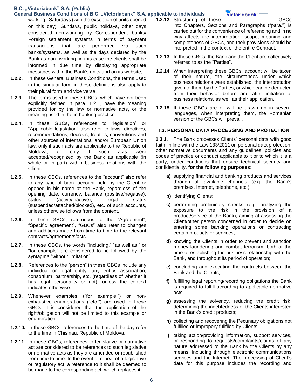- **General Business Conditions of B.C. "Victoriabank" S.A. applicable to individuals**  working - Saturdays (with the exception of units opened on this day), Sundays, public holidays, other days considered non-working by Correspondent banks/ Foreign settlement systems in terms of payment transactions that are performed via such banks/systems, as well as the days declared by the Bank as non- working, in this case the clients shall be informed in due time by displaying appropriate messages within the Bank's units and on its website;
- **1.2.2.** In these General Business Conditions, the terms used in the singular form in these definitions also apply to their plural form and vice versa.
- **1.2.3.** The terms used in these GBCs, which have not been explicitly defined in para. 1.2.1, have the meaning provided for by the law or normative acts, or the meaning used in the in banking practice.
- **1.2.4.** In these GBCs, references to "legislation" or "Applicable legislation" also refer to laws, directives, recommendations, decrees, treaties, conventions and other sources of international and/or European Union law, only if such acts are applicable to the Republic of Moldova, or only if such acts were accepted/recognized by the Bank as applicable (in whole or in part) within business relations with the Client.
- **1.2.5.** In these GBCs, references to the "account" also refer to any type of bank account held by the Client or opened in his name at the Bank, regardless of the opening date, currency, balance (positive/negative), status (active/inactive), legal status (suspended/attached/blocked), etc. of such accounts, unless otherwise follows from the context.
- **1.2.6.** In these GBCs, references to the "Agreement", "Specific agreement", "GBCs" also refer to changes and additions made from time to time to the relevant contracts/agreements/acts.
- **1.2.7.** In these GBCs, the words "including," "as well as," or "for example" are considered to be followed by the syntagma "without limitation".
- **1.2.8.** References to the "person" in these GBCs include any individual or legal entity, any entity, association, consortium, partnership, etc. (regardless of whether it has legal personality or not), unless the context indicates otherwise.
- **1.2.9.** Whenever examples ("for example:") or nonexhaustive enumerations ("etc.") are used in these GBCs, it is considered that the application of the right/obligation will not be limited to this example or enumeration.
- **1.2.10.** In these GBCs, references to the time of the day refer to the time in Chisinau, Republic of Moldova.
- **1.2.11.** In these GBCs, references to legislative or normative act are considered to be references to such legislative or normative acts as they are amended or republished from time to time. In the event of repeal of a legislative or regulatory act, a reference to it shall be deemed to be made to the corresponding act, which replaces it.

- victoriabank' =
- **1.2.12.** Structuring of these **GBCs** into Chapters, Sections and Paragraphs ("para.") is carried out for the convenience of referencing and in no way affects the interpretation, scope, meaning and completeness of GBCs, and their provisions should be interpreted in the context of the entire Contract.
- **1.2.13.** In these GBCs, the Bank and the Client are collectively referred to as the "Parties".
- **1.2.14.** When interpreting these GBCs, account will be taken of their nature, the circumstances under which business relations were established, the interpretation given to them by the Parties, or which can be deducted from their behavior before and after initiation of business relations, as well as their application.
- **1.2.15.** If these GBCs are or will be drawn up in several languages, when interpreting them, the Romanian version of the GBCs will prevail.

#### **I.3. PERSONAL DATA PROCESSING AND PROTECTION**

**1.3.1.** The Bank processes Clients' personal data with good faith, in line with the Law 133/2011 on personal data protection, other normative documents and any guidelines, policies and codes of practice or conduct applicable to it or to which it is a party, under conditions that ensure technical security and confidentiality, **for the following purposes**:

- **a)** supplying financial and banking products and services through all available channels (e.g. the Bank's premises, Internet, telephone, etc.);
- **b)** identifying Clients;
- **c)** performing preliminary checks (e.g. analyzing the exposure to the risk in the provision of a product/service of the Bank), aiming at assessing the Client/other person concerned in order to decide on entering some banking operations or contracting certain products or services;
- **d)** knowing the Clients in order to prevent and sanction money laundering and combat terrorism, both at the time of establishing the business relationship with the Bank, and throughout its period of operation;
- **e)** concluding and executing the contracts between the Bank and the Clients;
- **f)** fulfilling legal reporting/recording obligations the Bank is required to fulfill according to applicable normative acts;
- **g)** assessing the solvency, reducing the credit risk, determining the indebtedness of the Clients interested in the Bank's credit products;
- **h)** collecting and recovering the Pecuniary obligations not fulfilled or impropery fullfiled by Clients;
- **i)** taking action/providing information, support services, or responding to requests/complaints/claims of any nature addressed to the Bank by the Clients by any means, including through electronic communications services and the Internet. The processing of Client's data for this purpose includes the recording and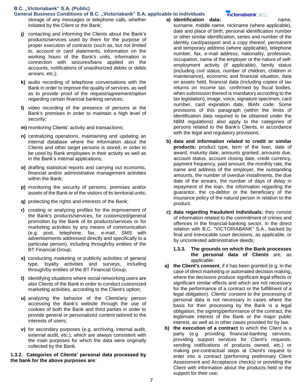General Business Conditions of B.C. "Victoriabank" S.A. applicable to individuals storage of any messages or telephone calls, whether initiated by the Client or the Bank;

- **j)** contacting and informing the Clients about the Bank's products/services used by them for the purpose of proper execution of contracts (such as, but not limited to, account or card statements, information on the working hours of the Bank's units, information in connection with seizures/bans applied on the accounts, notifications of unauthorized debits or debts arrears, etc.);
- **k)** audio recording of telephone conversations with the Bank in order to improve the quality of services, as well as to provide proof of the request/agreement/option regarding certain financial banking services;
- **l)** video recording of the presence of persons at the Bank's premises in order to maintain a high level of security;
- **m)** monitoring Clients' activity and transactions;
- **n)** centralizing operations, maintaining and updating an internal database where the information about the Clients and other target persons is stored, in order to be used by Bank employees in their activity as well as in the Bank's internal applications;
- **o)** drafting statistical reports and carrying out economic, financial and/or administrative management activities within the Bank;
- **p)** monitoring the security of persons, premises and/or assets of the Bank or of the visitors of its territorial units;
- **q)** protecting the rights and interests of the Bank;
- **r)** creating or analyzing profiles for the improvement of the Bank's products/services, for customized/general promotion by the Bank of its products/services or for marketing activities by any means of communication (e.g. post, telephone, fax, e-mail, SMS with advertisements addressed directly and specifically to a particular person), including through/by entities of the BT Financial Group;
- **s)** conducting marketing or publicity activities of general type, loyalty activities and surveys, including through/by entities of the BT Financial Group;
- **t)** identifying situations where social networking users are also Clients of the Bank in order to conduct customized marketing activities, according to the Client's option;
- **u)** analyzing the behavior of the Client/any person accessing the Bank's website through the use of cookies of both the Bank and third parties in order to provide general or personalized content tailored to the interests of users;
- **v)** for secondary purposes (e.g. archiving, internal audit, external audit, etc.), which are always consistent with the main purposes for which the data were originally collected by the Bank.

**1.3.2. Categories of Clients' personal data processed by the bank for the above purposes are**:

### **a) identification data:** name,

**victoriabank** 

surname, middle name, nickname (where applicable), date and place of birth, personal identification number or other similar identification, series and number of the identity card/passport and a copy thereof, permanent and temporary address (where applicable), telephone number, fax, e-mail address, nationality, profession, occupation, name of the employer or the nature of selfemployment activity (if applicable), family status (including civil status, number of children, children in maintenance), economic and financial situation, data on assets held, financial data (including copies of tax returns on income tax, confirmed by fiscal bodies, when submission thereof is mandatory according to the tax legislation), image, voice, signature specimen, card number, card expiration date, IBAN code. Some provisions of this paragraph (within the limits of identification data required to be obtained under the NBM regulations) also apply to the categories of persons related to the Bank's Clients, in accordance with the legal and regulatory provisions;

- **b) data and information related to credit or similar products:** product type, term of the loan, date of award, maturity date, amounts granted, amounts due, account status, account closing date, credit currency, payment frequency, paid amount, the monthly rate, the name and address of the employer, the outstanding amounts, the number of overdue installments, the due date of the arrears, the number of days of delay in repayment of the loan, the information regarding the guarantor, the co-debtor or the beneficiary of the insurance policy of the natural person in relation to the product.
- **c) data regarding fraudulent individuals:** they consist of information related to the commitment of crimes and offences in the financial-banking sector, in the direct relation with B.C. "VICTORIABANK" S.A., backed by final and irrevocable court decisions, as applicable, or by uncontested administrative deeds;
	- **1.3.3. The grounds on which the Bank processes the personal data of Clients** are, as applicable:
- **a) the Client's consent**, if it has been granted (e.g. in the case of direct marketing or automated decision making, where the decisions produce significant legal effects or significant similar effects and which are not necessary for the performance of a contract or the fulfillment of a legal obligation). Clients' consent to the processing of personal data is not necessary in cases where the basis for their processing by the Bank is a legal obligation, the signing/performance of the contract, the legitimate interest of the Bank or the major public interest, as well as in other cases provided for by law.
- **b) the execution of a contract** to which the Client is a party (e.g. providing financial-banking services, providing support services for Client's requests, sending notifications of products owned, etc.) or making pre-contractual steps at Client's request to enter into a contract (performing preliminary Client Assessment and Acceptance checks) or providing the Client with information about the products held or the support for their use;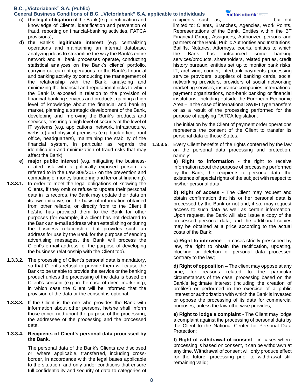#### **General Business Conditions of B.C. "Victoriabank" S.A. applicable to individuals**

- **c) the legal obligation** of the Bank (e.g. identification and knowledge of Clients, identification and prevention of fraud, reporting on financial-banking activities, FATCA provisions);
- **d) the** Bank's **legitimate interest** (e.g. centralizing operations and maintaining an internal database, analyzing ideas to streamline the way the Bank's entire network and all bank processes operate, conducting statistical analyzes on the Bank's clients' portfolio, carrying out current operations for the Bank's financial and banking activity by conducting the management of the relationship with the Bank, analyzing and minimizing the financial and reputational risks to which the Bank is exposed in relation to the provision of financial-banking services and products, gaining a high level of knowledge about the financial and banking market, planning a strategic development of the Bank, developing and improving the Bank's products and services, ensuring a high level of security at the level of IT systems (e.g. applications, network, infrastructure, website) and physical premises (e.g. back office, front office, headquarters), maintaining the stability of the financial system, in particular as regards the identification and minimization of fraud risks that may affect the Bank);
- **e) major public interest** (e.g. mitigating the businessrelated risk with a politically exposed person, as referred to in the Law 308/2017 on the prevention and combating of money laundering and terrorist financing).
- **1.3.3.1.** In order to meet the legal obligations of knowing the Clients, if they omit or refuse to update their personal data in its records, the Bank may update their data on its own initiative, on the basis of information obtained from other reliable, or directly from to the Client if he/she has provided them to the Bank for other purposes (for example, if a client has not declared to the Bank an e-mail address when establishing or during the business relationship, but provides such an address for use by the Bank for the purpose of sending advertising messages, the Bank will process the Client's e-mail address for the purpose of developing the business relationship with the Client too).
- **1.3.3.2.** The processing of Client's personal data is mandatory, so that Client's refusal to provide them will cause the Bank to be unable to provide the service or the banking product unless the processing of the data is based on Client's consent (e.g. in the case of direct marketing), in which case the Client will be informed that the provision of the data or the consent is optional.
- **1.3.3.3.** If the Client is the one who provides the Bank with information about other persons, he/she shall inform those concerned about the purpose of the processing, the addressee of the processing and the processed data.

### **1.3.3.4. Recipients of Client's personal data processed by the Bank.**

The personal data of the Bank's Clients are disclosed or, where applicable, transferred, including crossborder, in accordance with the legal bases applicable to the situation, and only under conditions that ensure full confidentiality and security of data to categories of

recipients such as, but not limited to: Clients, Branches, Agencies, Work Points, Representations of the Bank, Entities within the BT Financial Group, Assignees, Authorized persons and partners of the Bank, Public Authorities and Institutions, Bailiffs, Notaries, Attorneys, courts, entities to which the Bank has outsourced some banking services/products, shareholders, related parties, credit history bureaux, entities set up to monitor bank risks, IT, archiving, courier, interbank payments processing service providers, suppliers of banking cards, social networking providers, providers of social networking marketing services, insurance companies, international payment organizations, non-bank banking or financial institutions, including outside the European Economic Area – in the case of international SWIFT type transfers or as a result of the processing performed for the purpose of applying FATCA legislation.

The initiation by the Client of payment order operations represents the consent of the Client to transfer its personal data to those States.

**1.3.3.5.** Every Client benefits of the rights conferred by the law on the personal data processing and protection, namely:

**a) Right to information** - the right to receive information about the purpose of processing performed by the Bank, the recipients of personal data, the existence of special rights of the subject with respect to his/her personal data;

**b) Right of access -** The Client may request and obtain confirmation that his or her personal data is processed by the Bank or not and, if so, may request access to such data as well as certain information. Upon request, the Bank will also issue a copy of the processed personal data, and the additional copies may be obtained at a price according to the actual costs of the Bank;

**c) Right to intervene** - in cases strictly prescribed by law, the right to obtain the rectification, updating, blocking or deletion of personal data processed contrary to the law;

**d) Right of opposition –** The client may oppose at any time, for reasons related to the particular circumstances of the case, processing based on the Bank's legitimate interest (including the creation of profiles) or performed in the exercise of a public interest or authorization with which the Bank is invested or oppose the processing of its data for commercial purposes, unless the law otherwise provides;

**e) Right to lodge a complaint** - The Client may lodge a complaint against the processing of personal data by the Client to the National Center for Personal Data Protection;

**f) Right of withdrawal of consent** - in cases where processing is based on consent, it can be withdrawn at any time. Withdrawal of consent will only produce effect for the future, processing prior to withdrawal still remaining valid;

### victoriabank =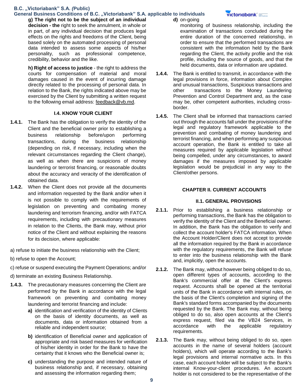#### **General Business Conditions of B.C. "Victoriabank" S.A. applicable to individuals**

**g) The right not to be the subject of an individual decision - the** right to seek the annulment, in whole or in part, of any individual decision that produces legal effects on the rights and freedoms of the Client, being based solely on the automated processing of personal data intended to assess some aspects of his/her personality, such as professional competence, credibility, behavior and the like.

**h) Right of access to justice** - the right to address the courts for compensation of material and moral damages caused in the event of incurring damage directly related to the processing of personal data. In relation to the Bank, the rights indicated above may be exercised by the Client by submitting a written request to the following email address: feedback@vb.md.

### **I.4. KNOW YOUR CLIENT**

- **1.4.1.** The Bank has the obligation to verify the identity of the Client and the beneficial owner prior to establishing a business relationship before/upon performing transactions, during the business relationship (depending on risk, if necessary, including when the relevant circumstances regarding the Client change), as well as when there are suspicions of money laundering or terrorist financing, or reasonable doubts about the accuracy and veracity of the identification of obtained data.
- **1.4.2.** When the Client does not provide all the documents and information requested by the Bank and/or when it is not possible to comply with the requirements of legislation on preventing and combating money laundering and terrorism financing, and/or with FATCA requirements, including with precautionary measures in relation to the Clients, the Bank may, without prior notice of the Client and without explaining the reasons for its decision, where applicable:
- a) refuse to initiate the business relationship with the Client;
- b) refuse to open the Account;
- c) refuse or suspend executing the Payment Operations; and/or
- d) terminate an existing Business Relationship.
- **1.4.3.** The precautionary measures concerning the Client are performed by the Bank in accordance with the legal framework on preventing and combating money laundering and terrorist financing and include:
	- **a)** identification and verification of the identity of Clients on the basis of identity documents, as well as documents, data or information obtained from a reliable and independent source;
	- **b)** identification of Beneficial owner and application of appropriate and risk based measures for verification of his/her identity in order for the Bank to have the certainty that it knows who the Beneficial owner is;
	- **c)** understanding the purpose and intended nature of business relationship and, if necessary, obtaining and assessing the information regarding them;
- **d)** on-going
- monitoring of business relationship, including the examination of transactions concluded during the entire duration of the concerned relationship, in order to ensure that the performed transactions are consistent with the information held by the Bank regarding the Client, the activity profile and the risk profile, including the source of goods, and that the held documents, data or information are updated.
- **1.4.4.** The Bank is entitled to transmit, in accordance with the legal provisions in force, information about Complex and unusual transactions, Suspicious transactions and other transactions to the Money Laundering Prevention and Control Department and, as the case may be, other competent authorities, including crossborder.
- **1.4.5.** The Client shall be informed that transactions carried out through the accounts fall under the provisions of the legal and regulatory framework applicable to the prevention and combating of money laundering and terrorist financing, and when performing any suspicious account operation, the Bank is entitled to take all measures required by applicable legislation without being compelled, under any circumstances, to award damages if the measures imposed by applicable legislation would be prejudicial in any way to the Client/other persons.

### **CHAPTER II. CURRENT ACCOUNTS**

### **II.1. GENERAL PROVISIONS**

- **2.1.1.** Prior to establishing a business relationship or performing transactions, the Bank has the obligation to verify the identity of the Client and the Beneficial owner. In addition, the Bank has the obligation to verify and collect the account holder's FATCA information. When the Account Holder/Client does not accept to provide all the information required by the Bank in accordance with the regulatory requirements, the Bank will refuse to enter into the business relationship with the Bank and, implicitly, open the accounts.
- **2.1.2.** The Bank may, without however being obliged to do so, open different types of accounts, according to the Bank's commercial offer at the Client's express request. Accounts shall be opened at the territorial units of the Bank in accordance with internal rules, on the basis of the Client's completion and signing of the Bank's standard forms accompanied by the documents requested by the Bank. The Bank may, without being obliged to do so, also open accounts at the Client's express request, filed via the VB24 Services, in accordance with the applicable regulatory requirements.
- **2.1.3.** The Bank may, without being obliged to do so, open accounts in the name of several holders (account holders), which will operate according to the Bank's legal provisions and internal normative acts. In this case, each account holder will be subject to the Bank's internal Know-your-client procedures. An account holder is not considered to be the representative of the

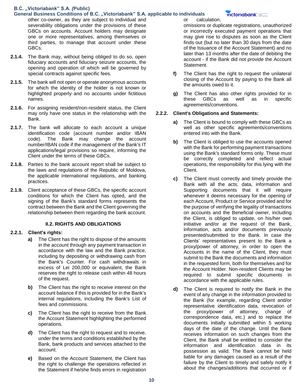### **General Business Conditions of B.C. "Victoriabank" S.A. applicable to individuals**

other co-owner, as they are subject to individual and severability obligations under the provisions of these GBCs on accounts. Account holders may designate one or more representatives, among themselves or third parties, to manage that account under these GBCs.

- **2.1.4.** The Bank may, without being obliged to do so, open fiduciary accounts and fiduciary seizure accounts, the opening and operation of which will be governed by special contracts against specific fees.
- **2.1.5.** The bank will not open or operate anonymous accounts for which the identity of the holder is not known or highlighted properly and no accounts under fictitious names.
- **2.1.6.** For assigning resident/non-resident status, the Client may only have one status in the relationship with the Bank.
- **2.1.7.** The bank will allocate to each account a unique identification code (account number and/or IBAN code). The Bank may change the account number/IBAN code if the management of the Bank's IT applications/legal provisions so require, informing the Client under the terms of these GBCs.
- **2.1.8.** Parties to the bank account report shall be subject to the laws and regulations of the Republic of Moldova, the applicable international regulations, and banking practices.
- **2.1.9.** Client acceptance of these GBCs, the specific account conditions for which the Client has opted, and the signing of the Bank's standard forms represents the contract between the Bank and the Client governing the relationship between them regarding the bank account.

### **II.2. RIGHTS AND OBLIGATIONS**

### **2.2.1. Client's rights:**

- **a)** The Client has the right to dispose of the amounts in the account through any payment transaction in accordance with the law and the Bank practice, including by depositing or withdrawing cash from the Bank's Counter. For cash withdrawals in excess of Lei 200,000 or equivalent, the Bank reserves the right to release cash within 48 hours of the request.
- **b)** The Client has the right to receive interest on the account balance if this is provided for in the Bank's internal regulations, including the Bank's List of fees and commissions.
- **c)** The Client has the right to receive from the Bank the Account Statement highlighting the performed operations.
- **d)** The Client has the right to request and to receive, under the terms and conditions established by the Bank, bank products and services attached to the account.
- **e)** Based on the Account Statement, the Client has the right to challenge the operations reflected in the Statement if he/she finds errors in registration

or calculation,

### victoriabank<sup>®</sup>

omissions or duplicate registrations, unauthorized or incorrectly executed payment operations that may give rise to disputes as soon as the Client finds out (but no later than 30 days from the date of the Issuance of the Account Statement) and no later than 13 months after the date of debiting the account - if the Bank did not provide the Account Statement.

- **f)** The Client has the right to request the unilateral closing of the Account by paying to the Bank all the amounts owed to it.
- **g)** The Client has also other rights provided for in these GBCs as well as in specific agreements/conventions.

### **2.2.2. Client's Obligations and Statements:**

- **a)** The Client is bound to comply with these GBCs as well as other specific agreements/conventions entered into with the Bank.
- **b)** The Client is obliged to use the accounts opened with the Bank for performing payment transactions using the Bank's standard forms only. These must be correctly completed and reflect actual operations, the responsibility for this lying with the Client.
- **c)** The Client must correctly and timely provide the Bank with all the acts, data, information and Supporting documents that it will require whenever it deems necessary for the opening of each Account, Product or Service provided and for the purpose of verifying the legality of transactions on accounts and the Beneficial owner, including the Client, is obliged to update, on his/her own initiative and/or at the request of the Bank, information, acts and/or documents previously presented/submitted to the Bank. In case the Clients' representatives present to the Bank a proxy/power of attorney, in order to open the Accounts in the name of the Client, they must submit to the Bank the documents and information in the requested form, both for themselves and for the Account Holder. Non-resident Clients may be required to submit specific documents in accordance with the applicable rules.
- **d)** The Client is required to notify the Bank in the event of any change in the information provided to the Bank (for example, regarding Client and/or representative identification data, revocation of the proxy/power of attorney, change of correspondence data, etc.) and to replace the documents initially submitted within 5 working days of the date of the change. Until the Bank receives information on such changes from the Client, the Bank shall be entitled to consider the information and identification data in its possession as valid. The Bank cannot be held liable for any damages caused as a result of the failure by the Client to timely and safely notify it about the changes/additions that occurred or if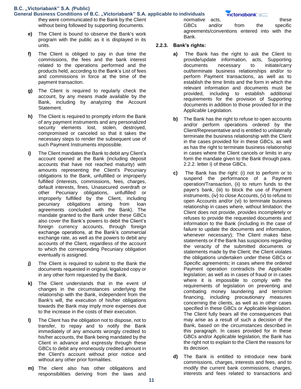#### **General Business Conditions of B.C. "Victoriabank" S.A. applicable to individuals**  they were communicated to the Bank by the Client without being followed by supporting documents.

- **e)** The Client is bound to observe the Bank's work program with the public as it is displayed in its units.
- **f)** The Client is obliged to pay in due time the commissions, the fees and the bank interest related to the operations performed and the products held, according to the Bank's List of fees and commissions in force at the time of the payment transaction.
- **g)** The Client is required to regularly check the account, by any means made available by the Bank, including by analyzing the Account Statement.
- **h)** The Client is required to promptly inform the Bank of any payment instruments and any personalized security elements lost, stolen, destroyed, compromised or canceled so that it takes the necessary steps to render the subsequent use of such Payment Instruments impossible.
- **i)** The Client mandates the Bank to debit any Client's account opened at the Bank (including deposit accounts that have not reached maturity) with amounts representing the Client's Pecuniary obligations to the Bank, unfulfilled or improperly fulfilled (interests, commissions, fees, charges, default interests, fines, Unasecured overdraft or other Pecuniary obligations, unfulfilled or improperly fulfilled by the Client, including pecuniary obligations arising from loan agreements concluded with the Bank). The mandate granted to the Bank under these GBCs also cover the Bank's powers to debit the Client's foreign currency accounts, through foreign exchange operations, at the Bank's commercial exchange rate, as well as the powers to debit any accounts of the Client, regardless of the account to which the corresponding Pecuniary obligation eventually is assigned.
- **j)** The Client is required to submit to the Bank the documents requested in original, legalized copy or in any other form requested by the Bank.
- **k)** The Client understands that in the event of changes in the circumstances underlying the relationship with the Bank, independent from the Bank's will, the execution of his/her obligations towards the Bank may imply more expenses due to the increase in the costs of their execution.
- **l)** The Client has the obligation not to dispose, not to transfer, to repay and to notify the Bank immediately of any amounts wrongly credited to his/her accounts, the Bank being mandated by the Client in advance and expressly through these GBCs to debit any erroneously credited amount in the Client's account without prior notice and without any other prior formalities.
- **m)** The client also has other obligations and responsibilities deriving from the laws and

normative acts. These GBCs and/or from the specific agreements/conventions entered into with the Bank.

### **2.2.3. Bank's rights:**

- **a)** The Bank has the right to ask the Client to provide/update information, acts, Supporting documents necessary to initiate/carry out/terminate business relationships and/or to perform Payment transactions, as well as to establish the time limits and the form in which the relevant information and documents must be provided, including to establish additional requirements for the provision of Supporting documents in addition to those provided for in the Applicable Legislation.
- **b)** The Bank has the right to refuse to open accounts and/or perform operations ordered by the Client/Representative and is entitled to unilaterally terminate the business relationship with the Client in the cases provided for in these GBCs, as well as has the right to terminate business relationship in cases where the Client cancels or limits in any form the mandate given to the Bank through para. 2.2.2. letter i) of these GBCs.
- **c)** The Bank has the right: (i) not to perform or to suspend the performance of a Payment operation/Transaction, (ii) to return funds to the payer's bank, (iii) to block the use of Payment instruments, (iv) to close Accounts, (v) to refuse to open Accounts and/or (vi) to terminate business relationship in cases where, without limitation: the Client does not provide, provides incompletely or refuses to provide the requested documents and information to the Bank (including in the case of failure to update the documents and information, whenever necessary); The Client makes false statements or if the Bank has suspicions regarding the veracity of the submitted documents or statements made by the Client; the Client violates the obligations undertaken under these GBCs or Specific agreements; in cases where the ordered Payment operation contradicts the Applicable legislation; as well as in cases of fraud or in cases where it is impossible to comply with the requirements of legislation on preventing and combating money laundering and terrorism financing, including precautionary measures concerning the clients, as well as in other cases specified in these GBCs or Applicable legislation. The Client fully bears all the consequences that may arise as a result of such a decision of the Bank, based on the circumstances described in this paragraph. In cases provided for in these GBCs and/or Applicable legislation, the Bank has the right not to explain to the Client the reasons for its decision.
- **d)** The Bank is entitled to introduce new bank commissions, charges, interests and fees, and to modify the current bank commissions, charges, interests and fees related to transactions and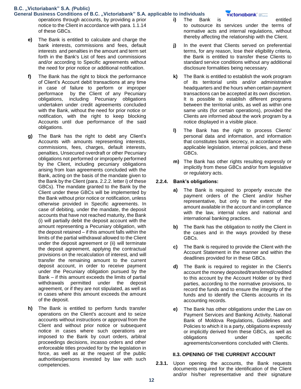### **General Business Conditions of B.C. "Victoriabank" S.A. applicable to individuals**

- operations through accounts, by providing a prior notice to the Client in accordance with para. 1.1.14 of these GBCs.
	- **e)** The Bank is entitled to calculate and charge the bank interests, commissions and fees, default interests and penalties in the amount and term set forth in the Bank's List of fees and commissions and/or according to Specific agreements without the need for prior notice or additional notification.
	- **f)** The Bank has the right to block the performance of Client's Account debit transactions at any time in case of failure to perform or improper performace by the Client of any Pecuniary obligations, including Pecuniary obligations undertaken under credit agreements concluded with the Bank, without the need for prior notice or notification, with the right to keep blocking Accounts until due performance of the said obligations.
	- **g)** The Bank has the right to debit any Client's Accounts with amounts representing interests, commissions, fees, charges, default interests, penalties, Unsecured overdraft or other Pecuniary obligations not performed or improperly performed by the Client, including pecuniary obligations arising from loan agreements concluded with the Bank, acting on the basis of the mandate given to the Bank by the Client (para. 2.2.2. letter i) of these GBCs). The mandate granted to the Bank by the Client under these GBCs will be implemented by the Bank without prior notice or notification, unless otherwise provided in Specific agreements. In case of debiting, under the mandate, the deposit accounts that have not reached maturity, the Bank (i) will partially debit the deposit account with the amount representing a Pecuniary obligation, with the deposit retained – if this amount falls within the limits of the partial withdrawal allowed to the Client under the deposit agreement or (ii) will terminate the deposit agreement, applying the contractual provisions on the recalculation of interest, and will transfer the remaining amount to the current deposit account, in order to receive payment under the Pecuniary obligation pursued by the Bank – if this amount exceeds the limits of partial withdrawals permitted under the deposit agreement, or if they are not stipulated, as well as in cases where this amount exceeds the amount of the deposit.
	- **h)** The Bank is entitled to perform funds transfer operations on the Client's account and to seize accounts without instructions or approval from the Client and without prior notice or subsequent notice in cases where such operations are imposed to the Bank by court orders, arbitral proceedings decisions, incasso orders and other enforceable titles provided for by the legislation in force, as well as at the request of the public authorities/persons invested by law with such competencies.
- **i)** The Bank is entitled to outsource its services under the terms of normative acts and internal regulations, without thereby affecting the relationship with the Client.
- **j)** In the event that Clients served on preferential terms, for any reason, lose their eligibility criteria, the Bank is entitled to transfer these Clients to standard service conditions without any additional disclosure formalities being necessary.
- **k)** The Bank is entitled to establish the work program of its territorial units and/or administrative headquarters and the hours when certain payment transactions can be accepted at its own discretion. It is possible to establish different programs between the territorial units, as well as within one same units (for certain operations), provided the Clients are informed about the work program by a notice displayed in a visible place.
- **l)** The Bank has the right to process Clients' personal data and information, and information that constitutes bank secrecy, in accordance with applicable legislation, internal policies, and these GBCs.
- **m)** The Bank has other rights resulting expressly or implicitly from these GBCs and/or from legislative or regulatory acts.

### **2.2.4. Bank's obligations:**

- **a)** The Bank is required to properly execute the payment orders of the Client and/or his/her representative, but only to the extent of the amount available in the account and in compliance with the law, internal rules and national and international banking practices.
- **b)** The Bank has the obligation to notify the Client in the cases and in the ways provided by these GBCs.
- **c)** The Bank is required to provide the Client with the Account Statement in the manner and within the deadlines provided for in these GBCs.
- **d)** The Bank is required to register in the Client's account the money deposited/transferred/credited to this account by the Account Holder or by third parties, according to the normative provisions, to record the funds and to ensure the integrity of the funds and to identify the Clients accounts in its accounting records.
- **e)** The Bank has other obligations under the Law on Payment Services and Banking Activity, National Bank of Moldova Regulations, Guidelines and Policies to which it is a party, obligations expressly or implicitly derived from these GBCs, as well as obligations under specific agreements/conventions concluded with Clients.

### **II.3. OPENING OF THE CURRENT ACCOUNT**

**2.3.1.** Upon opening the accounts, the Bank requests documents required for the identification of the Client and/or his/her representative and their signature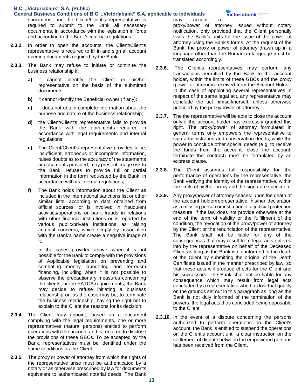- **General Business Conditions of B.C. "Victoriabank" S.A. applicable to individuals**  specimens, and the Client/Client's representative is required to submit to the Bank all necessary documents, in accordance with the legislation in force and according to the Bank's internal regulations.
- **2.3.2.** In order to open the accounts, the Client/Client's representative is required to fill in and sign all account opening documents required by the Bank.
- **2.3.3.** The Bank may refuse to initiate or continue the business relationship if:
	- **a)** it cannot identify the Client or his/her representative on the basis of the submitted documents;
	- **b)** it cannot identify the Beneficial owner (if any);
	- **c)** it does not obtain complete information about the purpose and nature of the business relationship;
	- **d)** the Client/Client's representative fails to provide the Bank with the documents required in accordance with legal requirements and internal regulations;
	- **e)** The Client/Client's representative provides false, insufficient, erroneous or incomplete information, raises doubts as to the accuracy of the statements or documents provided, may present image risk to the Bank, refuses to provide full or partial information in the form requested by the Bank, in accordance with its internal regulations;
	- **f)** The Bank holds information about the Client as included in the international sanctions list or other similar lists, according to data obtained from official sources, or is involved in fraudulent activities/operations or bank frauds in relations with other financial institutions or is reported by various public/private institutions as raising criminal concerns, which simply by association with the Bank's name create a negative image of it.

In the cases provided above, when it is not possible for the Bank to comply with the provisions of Applicable legislation on preventing and combating money laundering and terrorism financing, including when it is not possible to observe the precautionary measures concerning the clients, or the FATCA requirements, the Bank may decide to refuse initiating a business relationship or, as the case may be, to terminate the business relationship, having the right not to explain to the Client the reasons for its decision.

- **2.3.4.** The Client may appoint, based on a document complying with the legal requirements, one or more representatives (natural persons) entitled to perform operations with the account and is required to disclose the provisions of these GBCs. To be accepted by the Bank, representatives must be identified under the same conditions as the Client.
- **2.3.5.** The proxy or power of attorney from which the rights of the representative arise must be authenticated by a notary or as otherwise prescribed by law for documents equivalent to authenticated notarial deeds. The Bank

may accept a proxy/power of attorney issued without notary notification, only provided that the Client personally visits the Bank's units for the issue of the power of attorney using the Bank's forms. At the request of the Bank, the proxy or power of attorney drawn up in a language other than the Romanian language must be translated accordingly.

- **2.3.6.** The Client's representatives may perform any transactions permitted by the Bank to the account holder, within the limits of these GBCs and the proxy (power of attorney) received from the Account Holder. In the case of appointing several representatives in respect of the same legal act, any representative may conclude the act himself/herself, unless otherwise provided by the proxy/power of attorney.
- **2.3.7.** The the representative will be able to close the account only if the account holder has expressly granted this right. The proxy/power of attorney formulated in general terms only empowers the representative to sign administration and conservation deeds, while the power to conclude other special deeds (e.g. to receive the funds from the account, close the account, terminate the contract) must be formulated by an express clause.
- **2.3.8.** The Client assumes full responsibility for the performance of operations by the representative, the Bank verifying the identity of the representative, within the limits of his/her proxy and the signature specimen.
- **2.3.9.** Any proxy/power of attorney ceases: upon the death of the account holder/representative, his/her declaration as a missing person or institution of a judicial protection measure, if the law does not provide otherwise at the end of the term of validity or the fulfillment of the condition, the revocation of the proxy/power of attorney by the Client or the renunciation of the representative. The Bank shall not be liable for any of the consequences that may result from legal acts entered into by the representative on behalf of the Deceased Client as long as the Bank is not informed of the death of the Client by submitting the original of the Death Certificate issued in the manner prescribed by law, so that these acts will produce effects for the Client and his successors. The Bank shall not be liable for any consequence which may result from legal acts concluded by a representative who has lost that quality on the grounds set out in this paragraph as long as the Bank is not duly informed of the termination of the powers, the legal acts thus concluded being opposable to the Client.
- **2.3.10.** In the event of a dispute concerning the persons authorized to perform operations on the Client's account, the Bank is entitled to suspend the operations on the Client's account until a clear instruction on the settlement of dispute between the empowered persons has been received from the Client.

**victoriabank**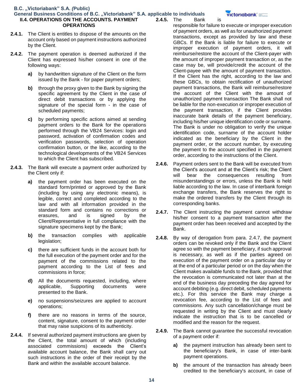#### **General Business Conditions of B.C. "Victoriabank" S.A. applicable to individuals II.4. OPERATIONS ON THE ACCOUNTS. PAYMENT OPERATIONS 2.4.5.** The Bank is

- **2.4.1.** The Client is entitles to dispose of the amounts on the account only based on payment instructions authorized by the Client.
- **2.4.2.** The payment operation is deemed authorized if the Client has expressed his/her consent in one of the following ways:
	- **a)** by handwritten signature of the Client on the form issued by the Bank - for paper payment orders;
	- **b)** through the proxy given to the Bank by signing the specific agreement by the Client in the case of direct debit transactions or by applying the signature of the special form - in the case of scheduled payments;
	- **c)** by performing specific actions aimed at sending payment orders to the Bank for the operations performed through the VB24 Services: login and password, activation of confirmation codes and verification passwords, selection of operation confirmation button, or the like, according to the technological developments of the VB24 Services to which the Client has subscribed.
- **2.4.3.** The Bank will execute a payment order authorized by the Client only if:
	- **a)** the payment order has been executed on the standard form/printed or approved by the Bank (including by using any electronic means), is legible, correct and completed according to the law and with all information provided in the standard form and contains no corrections or erasures, and is signed by the Client/Representative in full compliance with the signature specimens kept by the Bank;
	- **b)** the transaction complies with applicable legislation;
	- **c)** there are sufficient funds in the account both for the full execution of the payment order and for the payment of the commissions related to the payment according to the List of fees and commissions in force;
	- **d)** All the documents requested, including, where applicable, Supporting documents were presented to the Bank.
	- **e)** no suspensions/seizures are applied to account operations;
	- **f)** there are no reasons in terms of the source, content, signature, consent to the payment order that may raise suspicions of its authenticity.
- **2.4.4.** If several authorized payment instructions are given by the Client, the total amount of which (including associated commissions) exceeds the Client's available account balance, the Bank shall carry out such instructions in the order of their receipt by the Bank and within the available account balance.

responsible for failure to execute or improper execution of payment orders, as well as for unauthorized payment transactions, except as provided by law and these GBCs. If the Bank is liable for failure to execute or improper execution of payment orders, it will reimburse/restore the account of the Client-payer with the amount of improper payment transaction or, as the case may be, will provide/credit the account of the Client-payee with the amount of payment transaction. If the Client has the right, according to the law and these GBCs, to obtain rectification of unauthorized payment transactions, the Bank will reimburse/restore the account of the Client with the amount of unauthorized payment transaction The Bank shall not be liable for the non-execution or improper execution of the payment transaction, if the Client provides inaccurate bank details of the payment beneficiary, including his/her unique identification code or surname. The Bank is under no obligation to verify the unique identification code, surname of the account holder indicated as the beneficiary by the Client in the payment order, or the account number, by executing the payment to the account specified in the payment order, according to the instructions of the Client.

- **2.4.6.** Payment orders sent to the Bank will be executed from the Client's account and at the Client's risk; the Client will bear the consequences resulting from misunderstandings or errors, unless the Bank is held liable according to the law. In case of interbank foreign exchange transfers, the Bank reserves the right to make the ordered transfers by the Client through its corresponding banks.
- **2.4.7.** The Client instructing the payment cannot withdraw his/her consent to a payment transaction after the payment order has been received and accepted by the Bank.
- **2.4.8.** By way of derogation from para. 2.4.7, the payment orders can be revoked only if the Bank and the Client agree so with the payment beneficiary, if such approval is necessary, as well as if the parties agreed on execution of the payment order on a particular day or at the end of a particular period or on the day when the Client makes available funds to the Bank, provided that the revocation is communicated not later than at the end of the business day preceding the day agreed for account debiting (e.g. direct debit, scheduled payments etc.). For this service the Bank may charge a revocation fee, according to the List of fees and commissions. Any such cancellation/change must be requested in writing by the Client and must clearly indicate the instruction that is to be cancelled or modified and the reason for the request.
- **2.4.9.** The Bank cannot guarantee the successful revocation of a payment order if:
	- **a)** the payment instruction has already been sent to the beneficiary's Bank, in case of inter-bank payment operations.
	- **b)** the amount of the transaction has already been credited to the beneficiary's account, in case of

victoriabank° <del>ww.</del>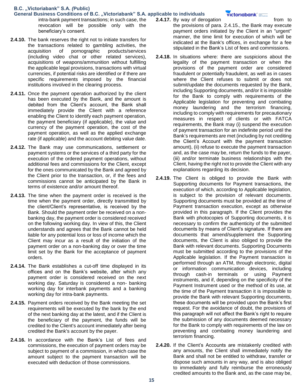- **General Business Conditions of B.C. "Victoriabank" S.A. applicable to individuals**  intra-bank payment transactions; in such case, the revocation will be possible only with the beneficiary's consent.
- **2.4.10.** The bank reserves the right not to initiate transfers for the transactions related to gambling activities, the acquisition of pornographic products/services (including video chat or other related services), acquisitions of weapons/ammunition without fulfilling the applicable legal provisions, transactions with virtual currencies, if potential risks are identified or if there are specific requirements imposed by the financial institutions involved in the clearing process.
- **2.4.11.** Once the payment operation authorized by the client has been executed by the Bank, and the amount is debited from the Client's account, the Bank shall immediately provide the Client with a reference enabling the Client to identify each payment operation, the payment beneficiary (if applicable), the value and currency of the payment operation, the cost of the payment operation, as well as the applied exchange rate (if applicable) and the account debiting value date.
- **2.4.12.** The Bank may use communications, settlement or payment systems or the services of a third party for the execution of the ordered payment operations, without additional fees and commissions for the Client, except for the ones communicated by the Bank and agreed by the Client prior to the transaction, or, if the fees and commissions cannot be anticipated by the Bank in terms of existence and/or amount thereof.
- **2.4.13.** The time when the payment order is received is the time when the payment order, directly transmitted by the client/Client's representative, is received by the Bank. Should the payment order be received on a nonbanking day, the payment order is considered received on the following working day. In view of this, the Client understands and agrees that the Bank cannot be held liable for any potential loss or loss of income which the Client may incur as a result of the initiation of the payment order on a non-banking day or over the time limit set by the Bank for the acceptance of payment orders.
- **2.4.14.** The Bank establishes a cut-off time displayed in its offices and on the Bank's website, after which any payment order is considered received on the next working day. Saturday is considered a non- banking working day for interbank payments and a banking working day for intra-bank payments.
- **2.4.15.** Payment orders received by the Bank meeting the set requirements will be executed by the bank by the end of the next banking day at the latest, and if the Client is the beneficiary of the payment, the funds will be credited to the Client's account immediately after being credited the Bank's account by the payer.
- **2.4.16.** In accordance with the Bank's List of fees and commissions, the execution of payment orders may be subject to payment of a commission, in which case the amount subject to the payment transaction will be executed with deduction of those commissions.
- **2.4.17.** By way of derogation from to the provisions of para. 2.4.15., the Bank may execute payment orders initiated by the Client in an "urgent" manner, the time limit for execution of which will be indicated at the Bank's offices, in exchange for a fee stipulated in the Bank's List of fees and commissions.
- **2.4.18.** In situations where: there are suspicions about the legality of the payment transaction or when the provisions of the payment order are considered fraudulent or potentially fraudulent, as well as in cases where the Client refuses to submit or does not submit/update the documents requested by the Bank, including Supporting documents, and/or it is impossible for the Bank to comply with requirements of the Applicable legislation for preventing and combating money laundering and the terrorism financing, including to comply with requirements for precautionary measures in respect of clients or with FATCA requirements, the Bank may (i) suspend the execution of payment transaction for an indefinite period until the Bank's requirements are met (including by not crediting the Client's Account with the payment transaction amount), (ii) refuse to execute the payment transaction and, as the case may be, return the funds to the payer, (iii) and/or terminate business relationships with the Client, having the right not to provide the Client with any explanations regarding its decision.
- **2.4.19.** The Client is obliged to provide the Bank with Supporting documents for Payment transactions, the execution of which, according to Applicable legislation, is subject to the provision of relevant documents. Supporting documents must be provided at the time of Payment transaction execution, except as otherwise provided in this paragraph. If the Client provides the Bank with photocopies of Supporting documents, it is necessary to confirm the authenticity of the submitted documents by means of Client's signature. If there are documents that amend/supplement the Supporting documents, the Client is also obliged to provide the Bank with relevant documents. Supporting Documents must be submitted according to the provisions of the Applicable legislation. If the Payment transaction is performed through an ATM, through electronic, digital or information communication devices, including through cash-in terminals or using Payment instruments, and if, depending on the specificity of the Payment Instrument used or the method of its use, at the time of the Payment transaction it is impossible to provide the Bank with relevant Supporting documents, these documents will be provided upon the Bank's first request. For the avoidance of doubt, the provisions of this paragraph will not affect the Bank's right to require the submission of any documents deemed necessary for the Bank to comply with requirements of the law on preventing and combating money laundering and terrorism financing.
- **2.4.20.** If the Client's Accounts are mistakenly credited with any amounts, the Client shall immediately notify the Bank and shall not be entitled to withdraw, transfer or dispose such amounts in any way, and is also obliged to immediately and fully reimburse the erroneously credited amounts to the Bank and, as the case may be,

### victoriabank' =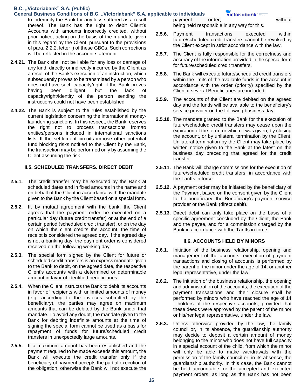- **General Business Conditions of B.C. "Victoriabank" S.A. applicable to individuals**  to indemnify the Bank for any loss suffered as a result thereof. The Bank has the right to debit Client's Accounts with amounts incorrectly credited, without prior notice, acting on the basis of the mandate given in this regard by the Client, pursuant to the provisions of para. 2.2.2. letter i) of these GBCs. Such corrections will be reflected in the account statement.
- **2.4.21.** The Bank shall not be liable for any loss or damage of any kind, directly or indirectly incurred by the Client as a result of the Bank's execution of an instruction, which subsequently proves to be transmitted by a person who does not have such capacity/right, if the Bank proves having been diligent, but the lack of capacity/right/identity of the person sending the instructions could not have been established.
- **2.4.22.** The Bank is subject to the rules established by the current legislation concerning the international moneylaundering sanctions. In this respect, the Bank reserves the right not to process transactions from/to entities/persons included in international sanctions lists. If the settlement circuits impose other potential fund blocking risks notified to the Client by the Bank, the transaction may be performed only by assuming the Client assuming the risk.

### **II.5. SCHEDULED TRANSFERS. DIRECT DEBIT**

- **2.5.1.** The credit transfer may be executed by the Bank at scheduled dates and in fixed amounts in the name and on behalf of the Client in accordance with the mandate given to the Bank by the Client based on a special form.
- **2.5.2.** If, by mutual agreement with the bank, the Client agrees that the payment order be executed on a particular day (future credit transfer) or at the end of a certain period (scheduled credit transfer), or on the day on which the client credits the account, the time of receipt is considered the agreed day. If the agreed day is not a banking day, the payment order is considered received on the following working day.
- **2.5.3.** The special form signed by the Client for future or scheduled credit transfers is an express mandate given to the Bank to debit, on the agreed date, the respective Client's accounts with a determined or determinable amount in favor of identified beneficiaries.
- **2.5.4.** When the Client instructs the Bank to debit its accounts in favor of recipients with unlimited amounts of money (e.g. according to the invoices submitted by the beneficiary), the parties may agree on maximum amounts that can be debited by the Bank under that mandate. To avoid any doubt, the mandate given to the Bank for debiting indefinite amounts at the time of signing the special form cannot be used as a basis for repayment of funds for future/scheduled credit transfers in unexpectedly large amounts.
- **2.5.5.** If a maximum amount has been established and the payment required to be made exceeds this amount, the Bank will execute the credit transfer only if the beneficiary of payment accepts the partial execution of the obligation, otherwise the Bank will not execute the

payment order, without being held responsible in any way for this.

- **2.5.6.** Payment transactions executed within future/scheduled credit transfers cannot be revoked by the Client except in strict accordance with the law.
- **2.5.7.** The Client is fully responsible for the correctness and accuracy of the information provided in the special form for future/scheduled credit transfers.
- **2.5.8.** The Bank will execute future/scheduled credit transfers within the limits of the available funds in the account in accordance with the order (priority) specified by the Client if several Beneficiaries are included.
- **2.5.9.** The accounts of the Client are debited on the agreed day and the funds will be available to the beneficiary's service provider on the following business day.
- **2.5.10.** The mandate granted to the Bank for the execution of future/scheduled credit transfers may cease upon the expiration of the term for which it was given, by closing the account, or by unilateral termination by the Client. Unilateral termination by the Client may take place by written notice given to the Bank at the latest on the business day preceding that agreed for the credit transfer.
- **2.5.11.** The Bank will charge commissions for the execution of future/scheduled credit transfers, in accordance with the Tariffs in force.
- **2.5.12.** A payment order may be initiated by the beneficiary of the Payment based on the consent given by the Client to the beneficiary, the Beneficiary's payment service provider or the Bank (direct debit).
- **2.5.13.** Direct debit can only take place on the basis of a specific agreement concluded by the Client, the Bank and the payee, and for a commission charged by the Bank in accordance with the Tariffs in force.

#### **II.6. ACCOUNTS HELD BY MINORS**

- **2.6.1.** Initiation of the business relationship, opening and management of the accounts, execution of payment transactions and closing of accounts is performed by the parent of the minor under the age of 14, or another legal representative, under the law.
- **2.6.2.** The initiation of the business relationship, the opening and administration of the accounts, the execution of the payment transactions and their closure shall be performed by minors who have reached the age of 14 - holders of the respective accounts, provided that these deeds were approved by the parent of the minor or his/her legal representative, under the law.
- **2.6.3.** Unless otherwise provided by the law, the family council or, in its absence, the guardianship authority may decide to deposit a certain amount of money belonging to the minor who does not have full capacity in a special account of the child, from which the minor will only be able to make withdrawals with the permission of the family council or, in its absence, the guardianship authority. In this case, the Bank cannot be held accountable for the accepted and executed payment orders, as long as the Bank has not been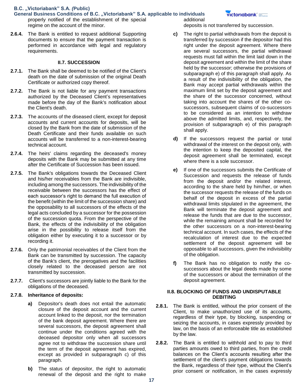- **General Business Conditions of B.C. "Victoriabank" S.A. applicable to individuals**  properly notified of the establishment of the special regime on the account of the minor.
- **2.6.4.** The Bank is entitled to request additional Supporting documents to ensure that the payment transaction is performed in accordance with legal and regulatory requirements.

#### **II.7. SUCCESSION**

- **2.7.1.** The Bank shall be deemed to be notified of the Client's death on the date of submission of the original Death Certificate or authorized copy thereof.
- **2.7.2.** The Bank is not liable for any payment transactions authorized by the Deceased Client's representatives made before the day of the Bank's notification about the Client's death.
- **2.7.3.** The accounts of the diseased client, except for deposit accounts and current accounts for deposits, will be closed by the Bank from the date of submission of the Death Certificate and their funds available on such accounts will be transferred to a non-interest-bearing technical account.
- **2.7.4.** The heirs' claims regarding the deceased's money deposits with the Bank may be submitted at any time after the Certificate of Succession has been issued.
- **2.7.5.** The Bank's obligations towards the Deceased Client and his/her receivables from the Bank are indivisible, including among the successors. The indivisibility of the receivable between the successors has the effect of each successor's right to demand the full execution of the benefit (within the limit of the succession share) and the opposability to all successors of the effects of the legal acts concluded by a successor for the possession of the succession quota. From the perspective of the Bank, the effects of the indivisibility of the obligation arise in the possibility to release itself from the obligation either by executing it to a successor or by recording it.
- **2.7.6.** Only the patrimonial receivables of the Client from the Bank can be transmitted by succession. The capacity of the Bank's client, the prerogatives and the facilities closely related to the deceased person are not transmitted by succession.
- **2.7.7.** Client's successors are jointly liable to the Bank for the obligations of the deceased.

#### **2.7.8. Inheritance of deposits:**

- **a)** Depositor's death does not entail the automatic closure of the deposit account and the current account linked to the deposit, nor the termination of the bank deposit agreement. Where there are several successors, the deposit agreement shall continue under the conditions agreed with the deceased depositor only when all successors agree not to withdraw the succession share until the term of the deposit agreement has expired, except as provided in subparagraph c) of this paragraph.
- **b)** The status of depositor, the right to automatic renewal of the deposit and the right to make

additional deposits is not transferred by succession.

- **c)** The right to partial withdrawals from the deposit is transferred by succession if the depositor had this right under the deposit agreement. Where there are several successors, the partial withdrawal requests must fall within the limit laid down in the deposit agreement and within the limit of the share held by the successor; otherwise the provisions of subparagraph e) of this paragraph shall apply. As a result of the indivisibility of the obligation, the Bank may accept partial withdrawals within the maximum limit set by the deposit agreement and the share of the successor concerned, without taking into account the shares of the other cosuccessors, subsequent claims of co-successors to be considered as an intention to withdraw above the admitted limits, and, respectively, the provision of subparagraph e) of this paragraph shall apply.
- **d)** If the successors request the partial or total withdrawal of the interest on the deposit only, with the intention to keep the deposited capital, the deposit agreement shall be terminated, except where there is a sole successor.
- **e)** If one of the successors submits the Certificate of Succession and requests the release of funds from the deposit and/or the related interest, according to the share held by him/her, or when the successor requests the release of the funds on behalf of the deposit in excess of the partial withdrawal limits stipulated in the agreement, the Bank will terminate the deposit agreement and release the funds that are due to the successor, while the remaining amount shall be recorded for the other successors on a non-interest-bearing technical account. In such cases, the effects of the recalculation of interest due to the expected settlement of the deposit agreement will be opposable to all successors, given the indivisibility of the obligation.
- **f)** The Bank has no obligation to notify the cosuccessors about the legal deeds made by some of the successors or about the termination of the deposit agreement.

### **II.8. BLOCKING OF FUNDS AND UNDISPUTABLE DEBITING**

- **2.8.1.** The Bank is entitled, without the prior consent of the Client, to make unauthorized use of its accounts, regardless of their type, by blocking, suspending or seizing the accounts, in cases expressly provided by law, on the basis of an enforceable title as established by the law.
- **2.8.2.** The Bank is entitled to withhold and to pay to third parties amounts owed to third parties, from the credit balances on the Client's accounts resulting after the settlement of the client's payment obligations towards the Bank, regardless of their type, without the Client's prior consent or notification, in the cases expressly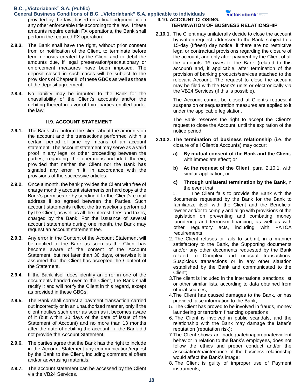- **General Business Conditions of B.C. "Victoriabank" S.A. applicable to individuals**  provided by the law, based on a final judgment or on any other enforceable title according to the law. If these amounts require certain FX operations, the Bank shall perform the required FX operation.
- **2.8.3.** The Bank shall have the right, without prior consent from or notification of the Client, to terminate before term deposits created by the Client and to debit the amounts due, if legal preservation/precautionary or enforcement measures have been imposed. The deposit closed in such cases will be subject to the provisions of Chapter III of these GBCs as well as those of the deposit agreement.
- **2.8.4.** No liability may be imputed to the Bank for the unavailability of the Client's accounts and/or the debiting thereof in favor of third parties entitled under the law.

### **II.9. ACCOUNT STATEMENT**

- **2.9.1.** The Bank shall inform the client about the amounts on the account and the transactions performed within a certain period of time by means of an account statement. The account statement may serve as a valid proof in any legal or other proceeding between the parties, regarding the operations included therein, provided that neither the Client nor the Bank has signaled any error in it, in accordance with the provisions of the successive articles.
- **2.9.2.** Once a month, the bank provides the Client with free of charge monthly account statements on hard copy at the Bank's premises or by sending it to the Client's e-mail address if so agreed between the Parties. Such account statements reflect the transactions performed by the Client, as well as all the interest, fees and taxes, charged by the Bank. For the issuance of several account statements during one month, the Bank may request an account statement fee.
- **2.9.3.** Any error in the Content of the Account Statement will be notified to the Bank as soon as the Client has become aware of the content of the Account Statement, but not later than 30 days, otherwise it is assumed that the Client has accepted the Content of the Statement.
- **2.9.4.** If the Bank itself does identify an error in one of the documents handed over to the Client, the Bank shall rectify it and will notify the Client in this regard, except as provided in these GBCs.
- **2.9.5.** The Bank shall correct a payment transaction carried out incorrectly or in an unauthorized manner, only if the client notifies such error as soon as it becomes aware of it (but within 30 days of the date of issue of the Statement of Account) and no more than 13 months after the date of debiting the account - if the Bank did not provide the Account Statement.
- **2.9.6.** The parties agree that the Bank has the right to include in the Account Statement any communication/request by the Bank to the Client, including commercial offers and/or advertising materials.
- **2.9.7.** The account statement can be accessed by the Client via the VB24 Services.

**II.10. ACCOUNT CLOSING. TERMINATION OF BUSINESS RELATIONSHIP**

**2.10.1.** The Client may unilaterally decide to close the account by written request addressed to the Bank, subject to a 15-day (fifteen) day notice, if there are no restrictive legal or contractual provisions regarding the closure of the account, and only after payment by the Client of all the amounts he owes to the Bank (related to this account) and, if applicable, after termination of the provision of banking products/services attached to the relevant Account. The request to close the account may be filed with the Bank's units or electronically via the VB24 Services (if this is possible).

> The Account cannot be closed at Client's request if suspension or sequestration measures are applied to it under the applicable legislation.

> The Bank reserves the right to accept the Client's request to close the Account, until the expiration of the notice period.

- **2.10.2. The termination of business relationship** (i.e. the closure of all Client's Accounts) may occur:
	- **a) By mutual consent of the Bank and the Client,**  with immediate effect; or
	- **b) At the request of the Client**, para. 2.10.1. with similar application; or
	- **c) Through unilateral termination by the Bank**, n the event that:
	- 1. The Client fails to provide the Bank with the documents requested by the Bank for the Bank to familiarize itself with the Client and the Beneficial owner and/or to comply and align with provisions of the legislation on preventing and combating money laundering and terrorism financing, as well as with other regulatory acts, including with FATCA requirements
	- 2. The Client refuses or fails to submit, in a manner satisfactory to the Bank, the Supporting documents and/or any other documents requested by the Bank related to Complex and unusual transactions, Suspicious transactions or in any other situation established by the Bank and communicated to the Client;
	- 3.The client is included in the international sanctions list or other similar lists, according to data obtained from official sources;
	- 4.The Client has caused damages to the Bank, or has provided false information to the Bank;
	- 5. The Client has proved to be involved in frauds, money laundering or terrorism financing operations
	- 6. The Client is involved in public scandals, and the relationship with the Bank may damage the latter's reputation (reputation risk);
	- 7.The Client shows an inadequate/inappropriate/violent behavior in relation to the Bank's employees, does not follow the ethics and proper conduct and/or the association/maintenance of the business relationship would affect the Bank's image;
	- 8. The Client is guilty of improper use of Payment instruments;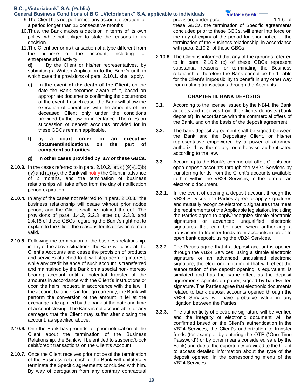- **General Business Conditions of B.C. "Victoriabank" S.A. applicable to individuals** 
	- 9.The Client has not performed any account operation for a period longer than 12 consecutive months;
	- 10.Thus, the Bank makes a decision in terms of its own policy, while not obliged to state the reasons for its decision.
	- 11.The Client performs transaction of a type different from the purpose of the account, including for entrepreneurial activity.

**d)** By the Client or his/her representatives, by submitting a Written Application to the Bank's unit, in which case the provisions of para. 2.10.1. shall apply.

- **e) In the event of the death of the Client**, on the date the Bank becomes aware of it, based on appropriate documents confirming the occurrence of the event. In such case, the Bank will allow the execution of operations with the amounts of the deceased Client only under the conditions provided by the law on inheritance. The rules on succession of deposit accounts provided for in these GBCs remain applicable.
- **f)** by a **court order, or an executive document/indications on the part of competent authorities.**
- **g) in other cases provided by law or these GBCs.**
- **2.10.3.** In the cases referred to in para. 2.10.2. let. c) (9)-(10)b) (iv) and (b)  $(v)$ , the Bank will notify the Client in advance of 2 months, and the termination of business relationships will take effect from the day of notification period expiration.
- **2.10.4.** In any of the cases not referred to in para. 2.10.3. the business relationship will cease without prior notice period, and the Client shall be notified thereof. The provisions of para. 1.4.2, 2.2.3 letter c), 2.3.3. and 2.4.18 of these GBCs regarding the Bank's right not to explain to the Client the reasons for its decision remain valid.
- **2.10.5.** Following the termination of the business relationship, in any of the above situations, the Bank will close all the Client's Accounts and cease the provision of products and services attached to it, will stop accruing interest, while any credit balance of such account is transferred and maintained by the Bank on a special non-interestbearing account until a potential transfer of the amounts in accordance with the Client's instructions or upon the heirs' request, in accordance with the law. If the account balance is in foreign currency, the Bank will perform the conversion of the amount in lei at the exchange rate applied by the bank at the date and time of account closing. The Bank is not accountable for any damages that the Client may suffer after closing the account, as specified above.
- **2.10.6.** One the Bank has grounds for prior notification of the Client about the termination of the Business Relationship, the Bank will be entitled to suspend/block debit/credit transactions on the Client's Account.
- **2.10.7.** Once the Client receives prior notice of the termination of the Business relationship, the Bank will unilaterally terminate the Specific agreements concluded with him. By way of derogation from any contrary contractual

provision, under para. 1.1.6. of

**victoriabank**°

these GBCs, the termination of Specific agreements concluded prior to these GBCs, will enter into force on the day of expiry of the period for prior notice of the termination of the Business relationship, in accordance with para. 2.10.2. of these GBCs.

**2.10.8.** The Client is informed that any of the grounds referred to in para. 2.10.2 (c) of these GBCs represent substantial reasons for terminating the Business relationship, therefore the Bank cannot be held liable for the Client's impossibility to benefit in any other way from making transactions through the Accounts.

### **CHAPTER III. BANK DEPOSITS**

- **3.1.** According to the license issued by the NBM, the Bank accepts and receives from the Clients deposits (bank deposits), in accordance with the commercial offers of the Bank, and on the basis of the deposit agreement.
- **3.2.** The bank deposit agreement shall be signed between the Bank and the Depositary Client, or his/her representative empowered by a power of attorney, authorized by the notary, or otherwise authenticated according to the law.
- **3.3.** According to the Bank's commercial offer, Clients can open deposit accounts through the VB24 Services by transferring funds from the Client's accounts available to him within the VB24 Services, in the form of an electronic document.
- **3.3.1.** In the event of opening a deposit account through the VB24 Services, the Parties agree to apply signatures and mutually recognize electronic signatures that meet the requirements of the Applicable legislation, including the Parties agree to apply/recognize simple electronic signatures or advanced unqualified electronic signatures that can be used when authorizing a transaction to transfer funds from accounts in order to open bank deposit, using the VB24 Services.
- **3.3.2.** The Parties agree that if a deposit account is opened through the VB24 Services, using a simple electronic signature or an advanced unqualified electronic signature, the electronic document that will reflect the authorization of the deposit opening is equivalent, is similated and has the same effect as the deposit agreements specific on paper, signed by handwritten signature. The Parties agree that electronic documents related to bank deposit accounts opened through the VB24 Services will have probative value in any litigation between the Parties.
- **3.3.3.** The authenticity of electronic signature will be verified and the integrity of electronic document will be confirmed based on the Client's authentication in the VB24 Services, the Client's authorization to transfer funds (for example, by entering the OTP ("One Time Password") or by other means considered safe by the Bank) and due to the opportunity provided to the Client to access detailed information about the type of the deposit opened, in the corresponding menu of the VB24 Services.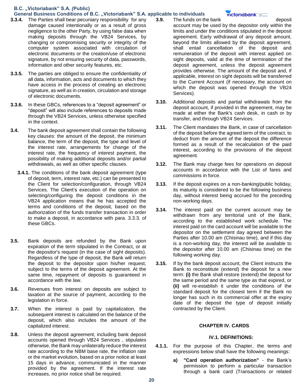#### **General Business Conditions of B.C. "Victoriabank" S.A. applicable to individuals**

- **3.3.4.** The Parties shall bear pecuniary responsibility for any damage caused intentionally or as a result of gross negligence to the other Party, by using false data when making deposits through the VB24 Services, by changing or compromising security or integrity of the computer system associated with circulation of electronic documents or the creation/use of electronic signature, by not ensuring security of data, passwords, information and other security features, etc.
- **3.3.5.** The parties are obliged to ensure the confidentiality of all data, information, acts and documents to which they have access in the process of creating an electronic signature, as well as in creation, circulation and storage of electronic documents.
- **3.3.6.** In these GBCs, references to a "deposit agreement" or "deposit" will also include references to deposits made through the VB24 Services, unless otherwise specified in the context.
- **3.4.** The bank deposit agreement shall contain the following key clauses: the amount of the deposit, the minimum balance, the term of the deposit, the type and level of the interest rate, arrangements for change of the interest rate, the frequency of interest payment, the possibility of making additional deposits and/or partial withdrawals, as well as other specific clauses.
	- **3.4.1.** The conditions of the bank deposit agreement (type of deposit, term, interest rate, etc.) can be presented to the Client for selection/configuration, through VB24 Services. The Client's execution of the operation on selecting/configuring the deposit conditions in the VB24 application means that he has accepted the terms and conditions of the deposit, based on the authorization of the funds transfer transaction in order to make a deposit, in accordance with para. 3.3.3. of these GBCs.
- **3.5.** Bank deposits are refunded by the Bank upon expiration of the term stipulated in the Contract, or at the depositor's request (in the case of sight deposits). Regardless of the type of deposit, the Bank will return the deposit to the depositor upon his/her request, subject to the terms of the deposit agreement. At the same time, repayment of deposits is guaranteed in accordance with the law.
- **3.6.** Revenues from interest on deposits are subject to taxation at the source of payment, according to the legislation in force.
- **3.7.** When the interest is paid by capitalization, the subsequent interest is calculated on the balance of the deposit, which also includes the amount of the capitalized interest.
- **3.8.** Unless the deposit agreement, including bank deposit accounts opened through VB24 Services , stipulates otherwise, the Bank may unilaterally reduce the interest rate according to the NBM base rate, the inflation rate or the market evolution, based on a prior notice at least 15 days in advance, communicated in the manner provided by the agreement. If the interest rate increases, no prior notice shall be required.

**3.9.** The funds on the bank deposit

#### **victoriabank**

- 
- account may be used by the depositor only within the limits and under the conditions stipulated in the deposit agreement. Early withdrawal of any deposit amount, beyond the limits allowed by the deposit agreement, shall entail cancellation of the deposit and remuneration of the deposit with interest applied on sight deposits, valid at the time of termination of the deposit agreement, unless the deposit agreement provides otherwise. The amount of the deposit and, if applicable, interest on sight deposits will be transferred to the Current Account (if necessary, the account on which the deposit was opened through the VB24 Services).
- **3.10.** Additional deposits and partial withdrawals from the deposit account, if provided in the agreement, may be made at either the Bank's cash desk, in cash or by transfer, and through VB24 Services.
- **3.11.** The Client mandates the Bank, in case of cancellation of the deposit before the agreed term of the contract, to deduct from the amount of the deposit the difference formed as a result of the recalculation of the paid interest, according to the provisions of the deposit agreement.
- **3.12.** The Bank may charge fees for operations on deposit accounts in accordance with the List of fares and commissions in force.
- **3.13.** If the deposit expires on a non-banking/public holiday, its maturity is considered to be the following business day, without interest being accrued for the preceding non-working days.
- **3.14.** The interest paid on the current account may be withdrawn from any territorial unit of the Bank, according to the established work schedule. The interest paid on the card account will be available to the depositor on the settlement day agreed between the Parties after 10.00 am (Chisinau time), and if this day is a non-working day, the interest will be available to the depositor after 10.00 am (Chisinau time) on the following working day.
- **3.15.** If by the bank deposit account, the Client instructs the Bank to reconstitute (extend) the deposit for a new term: **(i)** the Bank shall restore (extend) the deposit for the same period and the same type as that expired, or **(ii)** will re-establish it under the conditions of the standard deposit for the closest term if the Bank no longer has such in its commercial offer at the expiry date of the deposit the type of deposit initially contracted by the Client.

### **CHAPTER IV. CARDS**

### **IV.1. DEFINITIONS:**

- **4.1.1.** For the purpose of this Chapter, the terms and expressions below shall have the following meanings:
	- **a) "Card operation authorization"** the Bank's permission to perform a particular transaction through a bank card (Transactions or related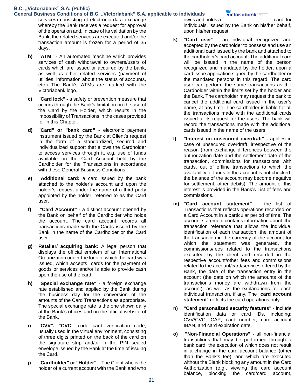### **General Business Conditions of B.C. "Victoriabank" S.A. applicable to individuals**

services) consisting of electronic data exchange whereby the Bank receives a request for approval of the operation and, in case of its validation by the Bank, the related services are executed and/or the transaction amount is frozen for a period of 35 days.

- **b) "ATM" -** An automated machine which provides services of cash withdrawal to owners/users of cards which are issued or acquired by the bank, as well as other related services (payment of utilities, information about the status of accounts, etc.) The Bank's ATMs are marked with the Victoriabank logo.
- **c) "Card lock" -** a safety or prevention measure that occurs through the Bank's limitation on the use of the Card by the Holder, which results in the impossibility of Transactions in the cases provided for in this Chapter.
- **d) "Card" or "bank card"** electronic payment instrument issued by the Bank at Client's request in the form of a standardized, secured and individualized support that allows the Cardholder to access services through it, e.g. use of funds available on the Card Account held by the Cardholder for the Transactions in accordance with these General Business Conditions.
- **e) "Additional card:** a card issued by the bank attached to the holder's account and upon the holder's request under the name of a third party appointed by the holder, referred to as the Card user.
- **f) "Card Account"** a distinct account opened by the Bank on behalf of the Cardholder who holds the account. The card account records all transactions made with the Cards issued by the Bank in the name of the Cardholder or the Card user.
- **g) Retailer/ acquiring bank:** A legal person that displays the official emblem of an International Organization under the logo of which the card was issued, which accepts cards for the payment of goods or services and/or is able to provide cash upon the use of the card.
- **h) "Special exchange rate"** a foreign exchange rate established and applied by the Bank during the business day for the conversion of the amounts of the Card Transactions as appropriate. The special exchange rate is the one shown daily at the Bank's offices and on the official website of the Bank.
- **i) "CVV", "CVC"** code card verification code, usually used in the virtual environment, consisting of three digits printed on the back of the card on the signature strip and/or in the PIN sealed envelope issued by the Bank at the time of issuing the Card.
- **j) "Cardholder" or "Holder"** The Client who is the holder of a current account with the Bank and who

owns and holds a card for individuals, issued by the Bank on his/her behalf, upon his/her request.

- **k) "Card user"** an individual recognized and accepted by the cardholder to possess and use an additional card issued by the bank and attached to the cardholder's card account. The additional card will be issued in the name of the person recognized and mandated by the holder, upon a card issue application signed by the cardholder or the mandated persons in this regard. The card user can perform the same transactions as the Cardholder within the limits set by the holder and the Bank. The cardholder may request the bank to cancel the additional card issued in the user's name, at any time. The cardholder is liable for all the transactions made with the additional cards issued at its request for the users. The bank will record the transactions made with the additional cards issued in the name of the users.
- **l) "Interest on unsecured overdraft" -** applies in case of unsecured overdraft, irrespective of the reason (from exchange differences between the authorization date and the settlement date of the transaction, commissions for transactions with cards, out of offline transactions to which the availability of funds in the account is not checked, the balance of the account may become negative for settlement, other debits). The amount of this interest is provided in the Bank's List of fees and commissions.
- **m) "Card account statement"** the list of Transactions that reflects operations recorded on a Card Account in a particular period of time. The account statement contains information about: the transaction reference that allows the individual identification of each transaction, the amount of the transaction in the currency of the account for which the statement was generated, the commissions/fees related to the transactions executed by the client and recorded in the respective account/other fees and commissions related to the account/card/services offered by the Bank, the date of the transaction entry in the account (the date on which the amounts of the transaction's money are withdrawn from the account), as well as the explanations for each individual transaction, if any. The "**card account statement**" reflects the card operations only.
- **n) "Card personalized security features"** include identification data or card IDs, including: CVV/CVC, CAP, card number, card account IBAN, and card expiration date.
- **o) "Non-Financial Operations" -** all non-financial transactions that may be performed through a bank card, the execution of which does not result in a change in the card account balance (other than the Bank's fee), and which are executed without the Blank blocking any amount in the Card Authorization (e.g., viewing the card account balance, blocking the card/card account,

### **victoriabank**°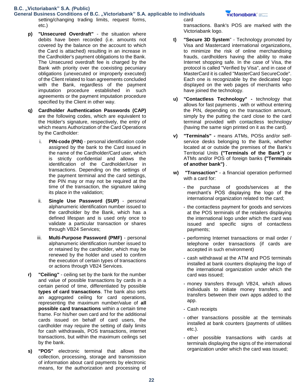**General Business Conditions of B.C. "Victoriabank" S.A. applicable to individuals**  setting/changing trading limits, request forms, etc.) card

- **p) "Unsecured Overdraft"** the situation where debits have been recorded (i.e. amounts not covered by the balance on the account to which the Card is attached) resulting in an increase in the Cardholder's payment obligations to the Bank. The Unsecured overdraft fee is charged by the Bank with priority over the coexisting pecuniary obligations (unexecuted or improperly executed) of the Client related to loan agreements concluded with the Bank, regardless of the payment imputation procedure established in such agreements or the payment imputation procedure specified by the Client in other way.
- **q) Cardholder Authentication Passwords (CAP)** are the following codes, which are equivalent to the Holder's signature, respectively, the entry of which means Authorization of the Card Operations by the Cardholder:
	- i. **PIN-code (PIN)** personal identification code assigned by the bank to the Card issued in the name of the Cardholder/Card user, which is strictly confidential and allows the identification of the Cardholder/User in transactions. Depending on the settings of the payment terminal and the card settings, the PIN may or may not be required at the time of the transaction, the signature taking its place in the validation;
	- ii. **Single Use Password (SUP)** personal alphanumeric identification number issued to the cardholder by the Bank, which has a defined lifespan and is used only once to validate a particular transaction or shares through VB24 Services;
	- iii. **Multi-Purpose Password (PMF)** personal alphanumeric identification number issued to or retained by the cardholder, which may be renewed by the holder and used to confirm the execution of certain types of transactions or actions through VB24 Services.
- **r) "Ceiling"** ceiling set by the bank for the number and value of possible transactions by cards in a certain period of time, differentiated by possible **types of card transactions**. The bank also sets an aggregated ceiling for card operations, representing the maximum number/value of **all possible card transactions** within a certain time frame. For his/her own card and for the additional cards issued on behalf of card users, the cardholder may require the setting of daily limits for cash withdrawals, POS transactions, internet transactions, but within the maximum ceilings set by the bank.
- **s) "POS"** electronic terminal that allows the collection, processing, storage and transmission of information about card payments by electronic means, for the authorization and processing of

### victoriabank =

transactions. Bank's POS are marked with the Victoriabank logo.

- **t) "Secure 3D System**" Technology promoted by Visa and Mastercard international organizations, to minimize the risk of online merchandising frauds, cardholders having the ability to make Internet shopping safe. In the case of Visa, the protocol is called "Verified by Visa", and in case of MasterCard it is called "MasterCard SecureCode". Each one is recognizable by the dedicated logo displayed on the web pages of merchants who have joined the technology.
- **u) "Contactless Technology" -** technology that allows for fast payments , with or without entering the PIN, depending on the transaction amount, simply by the putting the card close to the card terminal provided with contactless technology (having the same sign printed on it as the card).
- **v) "Terminals" -** means ATMs, POSs and/or selfservice desks belonging to the Bank, whether located at or outside the premises of the Bank's Territorial Units **("Terminals of the Bank")** or ATMs and/or POS of foreign banks **("Terminals of another bank")** .
- **w) "Transaction"** a financial operation performed with a card for:
	- the purchase of goods/services at the merchant's POS displaying the logo of the international organization related to the card;
	- the contactless payment for goods and services at the POS terminals of the retailers displaying the international logo under which the card was issued and specific signs of contactless payments;
	- performing Internet transactions or mail order / telephone order transactions (if cards are accepted in such environment)
	- cash withdrawal at the ATM and POS terminals installed at bank counters displaying the logo of the international organization under which the card was issued;
	- money transfers through VB24, which allows individuals to initiate money transfers, and transfers between their own apps added to the app.
	- Cash receipts
	- other transactions possible at the terminals installed at bank counters (payments of utilities etc.).
	- other possible transactions with cards at terminals displaying the signs of the international organization under which the card was issued;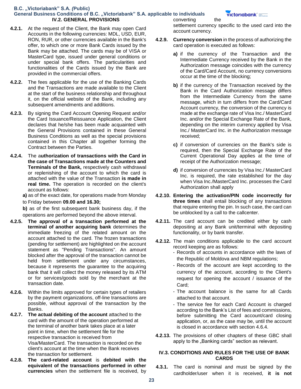#### General Business Conditions of B.C. "Victoriabank" S.A. applicable to individuals **IV.2. GENERAL PROVISIONS** converting the

- **4.2.1.** At the request of the Client, the Bank may open Card Accounts in the following currencies: MDL, USD, EUR, RON, RUR, or other currencies available in the Bank's offer, to which one or more Bank Cards issued by the Bank may be attached. The cards may be of VISA or MasterCard type, issued under general conditions or under special bank offers. The particularities and functionalities of the Cards issued by the Bank are provided in the commercial offers.
- **4.2.2.** The fees applicable for the use of the Banking Cards and the Transactions are made available to the Client at the start of the business relationship and throughout it, on the official website of the Bank, including any subsequent amendments and additions.
- **4.2.3.** By signing the Card Account Opening Request and/or the Card Issuance/Reissuance Application, the Client declares that he/she has been made acquainted with the General Provisions contained in these General Business Conditions as well as the special provisions contained in this Chapter all together forming the Contract between the Parties.
- **4.2.4.** The a**uthorization of transactions with the Card in the case of Transactions made at the Counters and Terminals of the Bank,** respectively cash withdrawal or replenishing of the account to which the card is attached with the value of the Transaction **is made in real time.** The operation is recorded on the client's account as follows:
	- **a)** as of the exact date, for operations made from Monday
	- to Friday between **09.00 and 16.30;**
	- **b)** as of the first subsequent bank business day, if the operations are performed beyond the above interval.
- **4.2.5. The approval of a transaction performed at the terminal of another acquiring bank** determines the immediate freezing of the related amount on the account attached to the card. The frozen transactions (pending for settlement) are highlighted on the account statement as "Pending Transactions". An amount blocked after the approval of the transaction cannot be held from settlement under any circumstances, because it represents the guarantee to the acquiring bank that it will collect the money released by its ATM or for services/goods sold by the merchant at the transaction date.
- **4.2.6.** Within the limits approved for certain types of retailers by the payment organizations, off-line transactions are possible, without approval of the transaction by the Banks.
- **4.2.7. The actual debiting of the account** attached to the card with the amount of the operation performed at the terminal of another bank takes place at a later point in time, when the settlement file for the respective transaction is received from Visa/MasterCard. The transaction is recorded on the client's account at the time when the Bank receives the transaction for settlement.
- **4.2.8. The card-related account** is **debited with the equivalent of the transactions performed in other currencies** when the settlement file is received, by

settlement currency specific to the used card into the account currency.

- **4.2.9. Currency conversion** in the process of authorizing the card operation is executed as follows:
	- **a)** if the currency of the Transaction and the Intermediate Currency received by the Bank in the Authorization message coincides with the currency of the Card/Card Account, no currency conversions occur at the time of the blocking;
	- **b)** if the currency of the Transaction received by the Bank in the Card Authorization message differs from the Intermediate Currency from the same message, which in turn differs from the Card/Card Account currency, the conversion of the currency is made at the exchange rate of Visa Inc./ MasterCard Inc. and/or the Special Exchange Rate of the Bank, depending on the interim currency applied by Visa Inc./ MasterCard Inc. in the Authorization message received;
	- **c)** if conversion of currencies on the Bank's side is required, then the Special Exchange Rate of the Current Operational Day applies at the time of receipt of the Authorization message;
	- **d)** if conversion of currencies by Visa Inc./ MasterCard Inc. is required, the rate established for the day when Visa Inc./MasterCard Inc. processes the Card Authorization shall apply
- **4.2.10. Entering the activation/PIN code incorrectly for three times** shall entail blocking of any transactions that require entering the pin. In such case, the card can be unblocked by a call to the callcenter.
- **4.2.11.** The card account can be credited either by cash depositing at any Bank unit/terminal with depositing functionality, or by bank transfer.
- **4.2.12.** The main conditions applicable to the card account record keeping are as follows:
	- Records of accounts in accordance with the laws of the Republic of Moldova and NBM regulations;
	- Records of the account are kept according to the currency of the account, according to the Client's request for opening the account / issuance of the Card;
	- The account balance is the same for all Cards attached to that account.
	- The service fee for each Card Account is charged according to the Bank's List of fees and commissions, before submitting the Card account/card closing application, or, as the case may be, until the account is closed in accordance with section 4.6.4.
- **4.2.13.** The provisions of other chapters of these GBC shall apply to the "Banking cards" section as relevant.

### **IV.3. CONDITIONS AND RULES FOR THE USE OF BANK CARDS**

**4.3.1.** The card is nominal and must be signed by the cardholder/user when it is received, **it is not**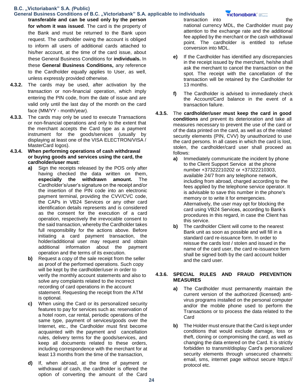## **General Business Conditions of B.C. "Victoriabank" S.A. applicable to individuals**

**transferable and can be used only by the person for whom it was issued**. The card is the property of the Bank and must be returned to the Bank upon request. The cardholder owing the account is obliged to inform all users of additional cards attached to his/her account, at the time of the card issue, about these General Business Conditions for **individuals.** In these **General Business Conditions,** any reference to the Cardholder equally applies to User, as well, unless expressly provided otherwise.

- **4.3.2.** The cards may be used, after activation by the transaction or non-financial operation, which imply entering the PIN code, from the date of issue and are valid only until the last day of the month on the card face (MM/YY - month/year).
- **4.3.3.** The cards may only be used to execute Transactions or non-financial operations and only to the extent that the merchant accepts the Card type as a payment instrument for the goods/services (usually by displaying at least one of the VISA ELECTRON/VISA / MasterCard logos).
- **4.3.4. When performing operations of cash withdrawal or buying goods and services using the card, the cardholder/user must:**
	- **a)** Sign the receipts released by the POS only after having checked the data written on them, **especially the withdrawn amount.** The Cardholder's/user's signature on the receipt and/or the insertion of the PIN code into an electronic payment terminal, providing the CVV/CVC code, the CAPs in VB24 Services or any other card identification details represents and is considered as the consent for the execution of a card operation, respectively the irrevocable consent to the said transaction, whereby the Cardholder takes full responsibility for the actions above. Before initiating a card payment transaction, the holder/additional user may request and obtain additional information about the payment operation and the terms of its execution.
	- **b)** Request a copy of the sale receipt from the seller as proof of the performed operations. Such copy will be kept by the cardholder/user in order to verify the monthly account statements and also to solve any complaints related to the incorrect recording of card operations in the account statement. Requesting the receipt from the ATM is optional.
	- **c)** When using the Card or its personalized security features to pay for services such as: reservation of a hotel room, car rental, periodic operations of the same type, payment of services/goods over the Internet, etc., the Cardholder must first become acquainted with the payment and cancellation rules, delivery terms for the goods/services, and keep all documents related to these orders, including correspondence with the merchant for at least 13 months from the time of the transaction,
	- **d)** If, when abroad, at the time of payment or withdrawal of cash, the cardholder is offered the option of converting the amount of the Card

transaction into the the national currency MDL, the Cardholder must pay attention to the exchange rate and the additional fee applied by the merchant or the cash withdrawal point. The cardholder is entitled to refuse conversion into MDL.

- **e)** If the Cardholder has identified any discrepancies in the receipt issued by the merchant, he/she shall ask the merchant to cancel the transaction on the spot. The receipt with the cancellation of the transaction will be retained by the Cardholder for 13 months.
- **f)** The Cardholder is advised to immediately check the Account/Card balance in the event of a transaction failure.
- **4.3.5.** The **cardholder/user must keep the card in good conditions** and prevent its deterioration and take all measures necessary to prevent the use of the card or of the data printed on the card, as well as of the related security elements (PIN, CVV) by unauthorized to use the card persons. In all cases in which the card is lost, stolen, the cardholder/card user shall proceed as follows:
	- **a)** Immediately communicate the incident by phone to the Client Support Service at the phone number +37322210202 or +37322210303, available 24/7 from any telephone network, including from abroad, charged according to the fees applied by the telephone service operator. It is advisable to save this number in the phone's memory or to write it for emergencies. Alternatively, the user may opt for blocking the card using VB24 Services, according to Bank's procedures in this regard, in case the Client has this service.
	- **b)** The cardholder Client will come to the nearest Bank unit as soon as possible and will fill in a standard card re-issuance form. In order to reissue the cards lost / stolen and issued in the name of the card user, the card re-issuance form shall be signed both by the card account holder and the card user.

### **4.3.6. SPECIAL RULES AND FRAUD PREVENTION MEASURES**

- **a)** The Cardholder must permanently maintain the current version of the authorized (licensed) antivirus programs installed on the personal computer and/or the mobile phone used to perform the Transactions or to process the data related to the Card
- **b)** The Holder must ensure that the Card is kept under conditions that would exclude damage, loss or theft, cloning or compromising the card, as well as changing the data entered on the Card. It is strictly forbidden to transmit/display Card's personalized security elements through unsecured channels: email, sms, internet page without secure https:// protocol etc.

### victoriabank<sup>\*</sup>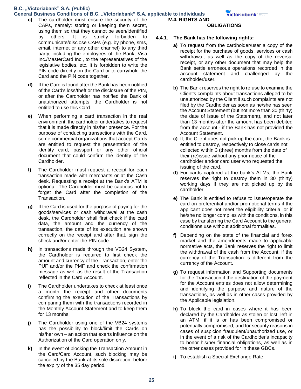### General Business Conditions of B.C. "Victoriabank" S.A. applicable to individuals

- **c)** The cardholder must ensure the security of the CAPs, namely: storing or keeping them secret, using them so that they cannot be seen/identified by others. It is strictly forbidden to communicate/disclose CAPs (e.g. by phone, sms, email, internet or any other channel) to any third party, including the employees of the Bank, Visa Inc./MasterCard Inc., to the representatives of the legislative bodies, etc. It is forbidden to write the PIN code directly on the Card or to carry/hold the Card and the PIN code together.
- **d)** If the Card is found after the Bank has been notified of the Card's loss/theft or the disclosure of the PIN, or after the Cardholder has notified the Bank of unauthorized attempts, the Cardholder is not entitled to use this Card.
- **e)** When performing a card transaction in the real environment, the cardholder undertakes to request that it is made directly in his/her presence. For the purpose of conducting transactions with the Card, some commercial organizations that accept Cards are entitled to request the presentation of the identity card, passport or any other official document that could confirm the identity of the Cardholder.
- **f)** The Cardholder must request a receipt for each transaction made with merchants or at the Cash desk. Requesting a receipt at the Bank's ATM is optional. The Cardholder must be cautious not to forget the Card after the completion of the Transaction.
- **g)** If the Card is used for the purpose of paying for the goods/services or cash withdrawal at the cash desk, the Cardholder shall first check if the card data, the amount and the currency of the transaction, the date of its execution are shown correctly on the receipt and after that, sign the check and/or enter the PIN code.
- **h)** In transactions made through the VB24 System, the Cardholder is required to first check the amount and currency of the Transaction, enter the PUF and/or the PMF and check the confirmation message as well as the result of the Transaction reflected in the Card Account.
- **i)** The Cardholder undertakes to check at least once a month the receipt and other documents confirming the execution of the Transactions by comparing them with the transactions recorded in the Monthly Account Statement and to keep them for 13 months.
- **j)** The Cardholder using one of the VB24 systems has the possibility to block/limit the Cards on his/her own – an action that exerts influence on the Authorization of the Card operation only.
- **k)** In the event of blocking the Transaction Amount in the Card/Card Account, such blocking may be canceled by the Bank at its sole discretion, before the expiry of the 35 day period.

victoriabank° <del>ww.</del>

### **OBLIGATIONS**

### **4.4.1. The Bank has the following rights:**

- **a)** To request from the cardholder/user a copy of the receipt for the purchase of goods, services or cash withdrawal, as well as the copy of the reversal receipt, or any other document that may help the Bank settle erroneous operations recorded in the account statement and challenged by the cardholder/user.
- **b)** The Bank reserves the right to refuse to examine the Client's complaints about transactions alleged to be unauthorized by the Client if such complaints are not filed by the Cardholder as soon as he/she has seen the Account Statement (but not more than 30 (thirty) the date of issue of the Statement), and not later than 13 months after the amount has been debited from the account - if the Bank has not provided the Account Statement.
- **c)** If, the Client does not pick up the card, the Bank is entitled to destroy, respectively to close cards not collected within 3 (three) months from the date of their (re)issue without any prior notice of the cardholder and/or card user who requested the issuing of the card.
- **d)** For cards captured at the bank's ATMs, the Bank reserves the right to destroy them in 30 (thirty) working days if they are not picked up by the cardholder.
- **e)** The Bank is entitled to refuse to issue/operate the card on preferential and/or promotional terms if the applicant does not meet the eligibility criteria, or if he/she no longer complies with the conditions, in this case by transferring the Card Account to the general conditions use without additional formalities.
- **f)** Depending on the state of the financial and forex market and the amendments made to applicable normative acts, the Bank reserves the right to limit the withdrawal of the cash from the Account, if the currency of the Transaction is different from the currency of the Account.
- **g)** To request information and Supporting documents for the Transaction if the destination of the payment for the Account entries does not allow determining and identifying the purpose and nature of the transactions, as well as in other cases provided by the Applicable legislation.
- **h)** To block the card in cases where it has been declared by the Cardholder as stolen or lost, left in an ATM, if it is or has been compromised or potentially compromised, and for security reasons in cases of suspicion fraudulent/unauthorized use, or in the event of a risk of the Cardholder's incapacity to honor his/her financial obligations, as well as in the other cases provided for in these GBCs.
- **i)** To establish a Special Exchange Rate.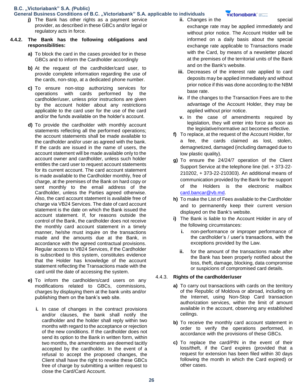#### **General Business Conditions of B.C. "Victoriabank" S.A. applicable to individuals**

**j)** The Bank has other rights as a payment service provider, as described in these GBCs and/or legal or regulatory acts in force.

### **4.4.2. The Bank has the following obligations and responsibilities:**

- **a)** To block the card in the cases provided for in these GBCs and to inform the Cardholder accordingly
- **b)** At the request of the cardholder/card user, to provide complete information regarding the use of the cards, non-stop, at a dedicated phone number.
- **c)** To ensure non-stop authorizing services for operations with cards performed by the cardholder/user, unless prior instructions are given by the account holder about any restrictions applicable to the card user for the use of the card and/or the funds available on the holder's account.
- **d)** To provide the cardholder with monthly account statements reflecting all the performed operations; the account statements shall be made available to the cardholder and/or user as agreed with the bank. If the cards are issued in the name of users, the account statement will be made available only to the account owner and cardholder, unless such holder entitles the card user to request account statements for its current account. The card account statement is made available to the Cardholder monthly, free of charge, at the premises of the Bank on hard copy or sent monthly to the email address of the Cardholder, unless the Parties agreed otherwise. Also, the card account statement is available free of charge via VB24 Services. The date of card account statement is the date on which the Bank issued the account statement. If, for reasons outside the control of the Bank, the cardholder does not receive the monthly card account statement in a timely manner, he/she must inquire on the transactions made and the amounts due at the Bank, in accordance with the agreed contractual provisions. Regular access to VB24 Services, if the Cardholder is subscribed to this system, constitutes evidence that the Holder has knowledge of the account statement reflecting the Transactions made with the card until the date of accessing the system.
- **e)** To inform the cardholders/card users on any modifications related to GBCs, commissions, charges by displaying them at the bank units and/or publishing them on the bank's web site.
	- **i.** In case of changes in the contract provisions and/or clauses, the bank shall notify the cardholder and the holder shall reply within two months with regard to the acceptance or rejection of the new conditions. If the cardholder does not send its option to the Bank in written form, within two months, the amendments are deemed tacitly accepted by the cardholder. In the event of a refusal to accept the proposed changes, the Client shall have the right to revoke these GBCs free of charge by submitting a written request to close the Card/Card Account.

**ii.** Changes in the special

### victoriabank' =

- exchange rate may be applied immediately and without prior notice. The Account Holder will be informed on a daily basis about the special exchange rate applicable to Transactions made with the Card, by means of a newsletter placed at the premises of the territorial units of the Bank and on the Bank's website.
- **iii.** Decreases of the interest rate applied to card deposits may be applied immediately and without prior notice if this was done according to the NBM base rate.
- **iv.** If the changes to the Transaction Fees are to the advantage of the Account Holder, they may be applied without prior notice.
- **v.** In the case of amendments required by legislation, they will enter into force as soon as the legislative/normative act becomes effective.
- **f)** To replace, at the request of the Account Holder, for a fee, the cards claimed as lost, stolen, demagnetized, damaged (including damaged due to low plastic quality).
- **g)** To ensure the 24/24/7 operation of the Client Support Service at the telephone line (tel. + 373-22- 210202, + 373-22-210303). An additional means of communication provided by the Bank for the support of the Holders is the electronic mailbox card.bancar@vb.md.
- **h)** To make the List of Fees available to the Cardholder and to permanently keep their current version displayed on the Bank's website.
- **i)** The Bank is liable to the Account Holder in any of the following circumstances:
	- **i.** non-performance or improper performance of the cardholder's / user's transactions, with the exceptions provided by the Law.
	- **ii.** for the amount of the transactions made after the Bank has been properly notified about the loss, theft, damage, blocking, data compromise or suspicions of compromised card details.

### 4.4.3. **Rights of the cardholder/user**

- **a)** To carry out transactions with cards on the territory of the Republic of Moldova or abroad, including on the Internet, using Non-Stop Card transaction authorization services, within the limit of amount available in the account, observing any established ceilings.
- **b)** To receive the monthly card account statement in order to verify the operations performed, in accordance with the provisions of these GBCs.
- **c)** To replace the card/PIN in the event of their loss/theft, if the Card expires (provided that a request for extension has been filed within 30 days following the month in which the Card expired) or other cases.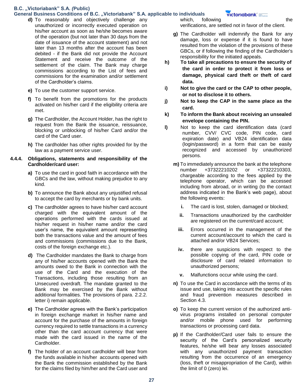#### General Business Conditions of B.C. "Victoriabank" S.A. applicable to individuals

- **d)** To reasonably and objectively challenge any unauthorized or incorrectly executed operation on his/her account as soon as he/she becomes aware of the operation (but not later than 30 days from the date of issuance of the account statement) and not later than 13 months after the account has been debited - if the Bank did not provide the Account Statement and receive the outcome of the settlement of the claim. The Bank may charge commissions according to the List of fees and commissions for the examination and/or settlement of the Cardholder's claims.
- **e)** To use the customer support service.
- **f)** To benefit from the promotions for the products activated on his/her card if the eligibility criteria are met.
- **g)** The Cardholder, the Account Holder, has the right to request from the Bank the issuance, reissuance, blocking or unblocking of his/her Card and/or the card of the Card user.
- **h)** The cardholder has other rights provided for by the law as a payment service user.

#### **4.4.4. Obligations, statements and responsibility of the Cardholder/card user:**

- **a)** To use the card in good faith in accordance with the GBCs and the law, without making prejudice to any kind.
- **b)** To announce the Bank about any unjustified refusal to accept the card by merchants or by bank units.
- **c)** The cardholder agrees to have his/her card account charged with the equivalent amount of the operations performed with the cards issued at his/her request in his/her name and/or the card user's name, the equivalent amount representing both the transactions value and the amount of fees and commissions (commissions due to the Bank, costs of the foreign exchange etc.).
- **d)** The Cardholder mandates the Bank to charge from any of his/her accounts opened with the Bank the amounts owed to the Bank in connection with the use of the Card and the execution of the Transactions, including those resulting from an Unsecured overdraft. The mandate granted to the Bank may be exercised by the Bank without additional formalities. The provisions of para. 2.2.2. letter i) remain applicable.
- **e)** The Cardholder agrees with the Bank's participation in foreign exchange market in his/her name and account for the purchase of the amounts in foreign currency required to settle transactions in a currency other than the card account currency that were made with the card issued in the name of the Cardholder.
- **f)** The holder of an account cardholder will bear from the funds available in his/her accounts opened with the Bank the commission established by the Bank for the claims filed by him/her and the Card user and

which, following the the verifications, are settled not in favor of the client.

- **g)** The Cardholder will indemnify the Bank for any damage, loss or expense if it is found to have resulted from the violation of the provisions of these GBCs, or if following the finding of the Cardholder's responsibility for the initiated appeals.
- **h) To take all precautions to ensure the security of the card in order to protect it from loss or damage, physical card theft or theft of card data.**
- **i) Not to give the card or the CAP to other people, or not to disclose it to others.**
- **j) Not to keep the CAP in the same place as the card.**
- **k) To inform the Bank about receiving an unsealed envelope containing the PIN.**
- **l)** Not to keep the card identification data (card number, CVV/ CVC code, PIN code, card expiration date) and VB24 identification data (login/password) in a form that can be easily recognized and accessed by unauthorized persons.
	- **m)** To immediately announce the bank at the telephone number +37322210202 or +37322210303, chargeable according to the fees applied by the telephone operator, which can be accessed including from abroad, or in writing (to the contact address indicated in the Bank's web page), about the following events:
		- **i.** The card is lost, stolen, damaged or blocked;
		- **ii.** Transactions unauthorized by the cardholder are registered on the current/card account;
		- **iii.** Errors occurred in the management of the current account/account to which the card is attached and/or VB24 Services;
		- **iv.** there are suspicions with respect to the possible copying of the card, PIN code or disclosure of card related information to unauthorized persons;
		- **v.** Malfunctions occur while using the card.
	- **n)** To use the Card in accordance with the terms of its issue and use, taking into account the specific rules and fraud prevention measures described in Section 4.3.
	- **o)** To keep the current version of the authorized antivirus programs installed on personal computer and/or mobile phone used for performing transactions or processing card data.
	- **p)** If the Cardholder/Card user fails to ensure the security of the Card's personalized security features, he/she will bear any losses associated with any unauthorized payment transaction resulting from the occurrence of an emergency (loss, theft or misappropriation of the Card), within the limit of 0 (zero) lei.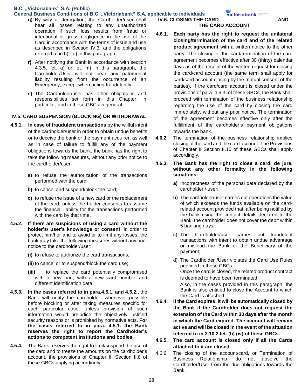### **General Business Conditions of B.C. "Victoriabank" S.A. applicable to individuals**

- **q)** By way of derogation, the Cardholder/user shall bear all losses relating to any unauthorized operation if such loss results from fraud or intentional or gross negligence in the use of the Card in accordance with the terms of issue and use as described in Section IV.3. and the obligations referred to in h) - o) in this paragraph.
- **r)** After notifying the Bank in accordance with section 4.3.5. let. a) or let. m) in this paragraph, the Cardholder/User will not bear any patrimonial liability resulting from the occurrence of an Emergency, except when acting fraudulently.
- **s)** The Cardholder/user has other obligations and responsibilities set forth in this Chapter, in particular, and in these GBCs in general.

### **IV.5. CARD SUSPENSION (BLOCKING) OR WITHDRAWAL**

- **4.5.1. In case of fraudulent transactions** by the willful intent of the cardholder/user in order to obtain undue benefits or to deceive the bank or the payment acquirer, as well as in case of failure to fulfill any of the payment obligations towards the bank**,** the bank has the right to take the following measures, without any prior notice to the cardholder/user:
	- **a)** to refuse the authorization of the transactions performed with the card
	- **b)** to cancel and suspend/block the card;
	- **c)** to refuse the issue of a new card or the replacement of the card, unless the holder consents to assume the financial liability for the transactions performed with the card by that time.
- **4.5.2. If there are suspicions of using a card without the holder's/ user's knowledge or consent**, in order to protect him/her and to avoid or to limit any losses, the bank may take the following measures without any prior notice to the cardholder/user:
	- **(i)** to refuse to authorize the card transactions;
	- **(ii)** to cancel or to suspend/block the card use;
	- **(iii)** to replace the card potentially compromised with a new one, with a new card number and different identification data.
- **4.5.3. In the cases referred to in para.4.5.1. and 4.5.2.,** the Bank will notify the cardholder, whenever possible before blocking or after taking measures specific for each particular case, unless provision of such information would prejudice the objectively justified security reasons or is prohibited by normative acts. **For the cases referred to in para. 4.5.1. the Bank reserves the right to report the Cardholder's actions to competent institutions and bodies**.
- **4.5.4.** The Bank reserves the right to limit/suspend the use of the card and to freeze the amounts on the cardholder's account, the provisions of Chapter II, Section II.8 of these GBCs applying accordingly.

#### **IV.6. CLOSING THE CARD AND AND THE CARD ACCOUNT**

- **4.6.1. Each party has the right to request the unilateral closing/termination of the card and of the related product agreement** with a written notice to the other party. The closing of the card/termination of the card agreement becomes effective after 30 (thirty) calendar days as of the receipt of the written request for closing the card/card account (the same term shall apply for card/card account closing by the mutual consent of the parties). If the card/card account is closed under the provisions of para. 4.6.3. of these GBCs, the Bank shall proceed with termination of the business relationship regarding the use of the card by closing the card immediately, without any prior notice. The termination of the agreement becomes effective only after the fulfillment of the cardholder's payment obligations towards the bank.
- **4.6.2.** The termination of the business relationship implies closing of the card and the card account. The Provisions of Chapter II Section II.10 of these GBCs shall apply accordingly.
- **4.6.3. The Bank has the right to close a card, de jure, without any other formality in the following situations:**
	- **a)** Incorrectness of the personal data declared by the cardholder / user;
	- **b)** The cardholder/user carries out operations the value of which exceeds the funds available on the cardrelated account provided that, after being notified by the bank using the contact details declared to the Bank, the cardholder does not cover the debit within 5 banking days;
	- c) The Cardholder/user carries out fraudulent transactions with intent to obtain undue advantage or mislead the Bank or the Beneficiary of the payment;
	- d) The Cardholder /User violates the Card Use Rules provided in these GBCs. Once the card is closed, the related product contract is deemed to have been terminated. Also, in the cases provided in this paragraph, the

Bank is also entitled to close the Account to which the Card is attached.

- **4.6.4. If the Card expires, it will be automatically closed by the Bank if the Cardholder does not request the extension of the Card within 30 days after the month in which the Card expired. The account will remain active and will be closed in the event of the situation referred to in 2.10.2 let. (b) (iv) of these GBCs.**
- **4.6.5. The card account is closed only if all the Cards attached to it are closed.**
- 4.6.6. The closing of the account/card, or Termination of Business Relationship, do not absolve the Cardholder/User from the due obligations towards the Bank.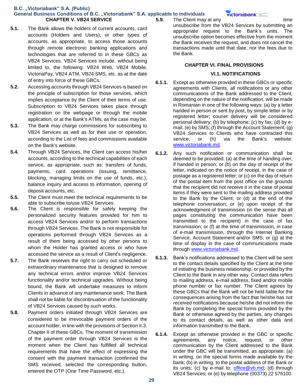**B.C. "Victoriabank" S.A.** *(***Public) General Business Conditions of B.C. "Victoriabank" S.A. applicable to individuals CHAPTER V. VB24 SERVICE 5.9.** The Client may at any time

- **5.1.** The Bank allows the holders of current accounts, card accounts (Holders and Users), or other types of accounts, as appropriate, to access those accounts through remote electronic banking applications and technologies that are referred to in these GBCs as VB24 Services. VB24 Services include, without being limited to, the following: VB24 Web, VB24 Mobile, VictoriaPay, VB24 ATM, VB24 SMS, etc. as at the date of entry into force of these GBCs.
- **5.2.** Accessing accounts through VB24 Services is based on the principle of subscription for those services, which implies acceptance by the Client of their terms of use. Subscription to VB24 Services takes place through registration on the webpage or through the mobile application, or at the Bank's ATMs, as the case may be.
- **5.3.** The Bank may charge commissions for subscribing to VB24 Services as well as for their use or operation, according to the List of fees and commissions available on the Bank's website.
- **5.4.** Through VB24 Services, the Client can access his/her accounts, according to the technical capabilities of each service, as appropriate, such as: transfers of funds, payments, card operations (issuing, remittance, blocking, managing limits on the use of funds, etc.), balance inquiry and access to information, opening of deposit accounts, etc.
- **5.5.** The Client must meet the technical requirements to be able to subscribe to/use VB24 Services.
- **5.6.** The Client is responsible for safely keeping the personalized security features provided for him to access VB24 Services and/or to perform transactions through VB24 Services. The Bank is not responsible for operations performed through VB24 Services as a result of them being accessed by other persons to whom the Holder has granted access or who have accessed the service as a result of Client's negligence.
- **5.7.** The Bank reserves the right to carry out scheduled or extraordinary maintenance that is designed to remove any technical errors and/or improve VB24 Services functionality and/or technical upgrades. Without being bound, the Bank will undertake measures to inform Clients in advance of any maintenance work. The Bank shall not be liable for discontinuation of the functionality of VB24 Services caused by such works.
- **5.8.** Payment orders initiated through VB24 Services are considered to be irrevocable payment orders of the account holder, in line with the provisions of Section II.3. Chapter II of these GBCs. The moment of transmission of the payment order through VB24 Services is the moment when the Client has fulfilled all technical requirements that have the effect of expressing the consent with the payment transaction (confirmed the SMS received, selected the corresponding button, entered the OTP (One Time Password, etc.).

unsubscribe from the VB24 Services by submitting an appropriate request to the Bank's units. The unsubscribe option becomes effective from the moment the Bank receives the request, and does not cancel the transactions made until that date, nor the fees due to the Bank.

### **CHAPTER VI. FINAL PROVISIONS**

### **VI.1. NOTIFICATIONS**

- **6.1.1.** Except as otherwise provided in these GBCs or specific agreements with Clients, all notifications or any other communications of the Bank addressed to the Client, depending on the nature of the notification, will be made in Romanian in one of the following ways: (a) by a letter handed in person or sent by post, by simple letter or by registered letter; courier delivery will be considered personal delivery; (b) by telephone; (c) by fax; (d) by email, (e) by SMS; (f) through the Account Statement; (g) VB24 Services to Clients who have contracted this service, or (h) via the Bank's website: www.victoriabank.md.
- **6.1.2.** Any such notification or communication shall be deemed to be provided: (a) at the time of handing over, if handed in person; or (b) on the day of receipt of the letter, indicated on the notice of receipt, in the case of postage as a registered letter; or (c) on the day of return of the postal item from the post office on the grounds that the recipient did not receive it in the case of postal items if they were sent to the mailing address provided to the Bank by the Client; or (d) at the end of the telephone conversation; or (e) upon receipt of the acknowledgment of transmission (in the sense that all pages constituting the communication have been transmitted to the recipient) in the case of fax transmission; or (f) at the time of transmission, in case of e-mail transmission, through the Internet Banking Service, Account Statement and/or SMS; or (g) at the time of display in the case of communications made through www.victoriabank.md.
- **6.1.3.** Bank's notifications addressed to the Client will be sent to the contact details specified by the Client at the time of initiating the business relationship, or provided by the Client to the Bank in any other way. Contact data refers to mailing address, e-mail address, fixed and/or mobile phone number or fax number. The Client agrees by these GBCs that the Bank will not be held liable for the consequences arising from the fact that he/she has not received notifications because he/she did not inform the Bank by completing the special forms provided by the Bank or otherwise agreed by the parties, any changes to its contact details, as well as other data and information transmitted to the Bank.
- **6.1.4.** Except as otherwise provided in the GBC or specific agreements, any notice, request, or other communication by the Client addressed to the Bank under the GBC will be transmitted, as appropriate: (a) in writing, on the special forms made available by the bank; (b) in writing, to the postal address of the Bank or its units; (c) by e-mail to: office@vb.md; (d) through VB24 Services; or (e) by telephone (00373) 22 576100.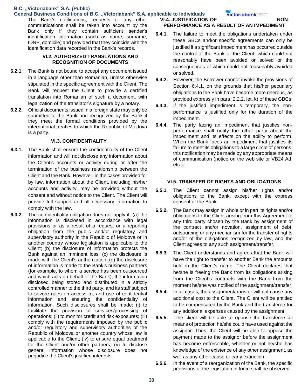### **General Business Conditions of B.C. "Victoriabank" S.A. applicable to individuals**

The Bank's notifications, requests or any other communications shall be taken into account by the Bank only if they contain sufficient sender's identification information (such as name, surname, IDNP, domicile) and provided that they coincide with the identification data recorded in the Bank's records.

### **VI.2. AUTHORIZED TRANSLATIONS AND RECOGNITION OF DOCUMENTS**

- **6.2.1.** The Bank is not bound to accept any document issued in a language other than Romanian, unless otherwise stipulated in the specific agreement with the Client. The Bank will request the Client to provide a certified translation into Romanian of such a document, with legalization of the translator's signature by a notary.
- **6.2.2.** Official documents issued in a foreign state may only be submitted to the Bank and recognized by the Bank if they meet the formal conditions provided by the international treaties to which the Republic of Moldova is a party.

### **VI.3. CONFIDENTIALITY**

- **6.3.1.** The Bank shall ensure the confidentiality of the Client information and will not disclose any information about the Client's accounts or activity during or after the termination of the business relationship between the Client and the Bank. However, in the cases provided for by law, information about the Client, including his/her accounts and activity, may be provided without the consent and without notice to the Client. The Client will provide full support and all necessary information to comply with the law.
- **6.3.2.** The confidentiality obligation does not apply if: (a) the information is disclosed in accordance with legal provisions or as a result of a request or a reporting obligation from the public and/or regulatory and supervisory authority in the Republic of Moldova or in another country whose legislation is applicable to the Client; (b) the disclosure of information protects the Bank against an imminent loss; (c) the disclosure is made with the Client's authorization; (d) the disclosure of information is made to the Bank's business partners (for example, to whom a service has been outsourced and which acts on behalf of the Bank), the information disclosed being stored and distributed in a strictly controlled manner to the third party, and its staff subject to severe rules on access to, and use of confidential information and ensuring the confidentiality of information. Such disclosures shall be made: (i) to facilitate the provision of services/processing of operations; (ii) to monitor credit and risk exposures; (iii) comply with the requirements imposed by the public and/or regulatory and supervisory authorities of the Republic of Moldova or another country whose law is applicable to the Client; (iv) to ensure equal treatment for the Client and/or other partners; (v) to disclose general information whose disclosure does not prejudice the Client's justified interests.

**VI.4. JUSTIFICATION OF NON-**

### **PERFORMANCE AS A RESULT OF AN IMPEDIMENT**

- **6.4.1.** The failure to meet the obligations undertaken under these GBCs and/or specific agreements can only be justified if a significant impediment has occurred outside the control of the Bank or the Client, which could not reasonably have been avoided or solved or the consequences of which could not reasonably avoided or solved.
- **6.4.2.** However, the Borrower cannot invoke the provisions of Section 6.4.1. on the grounds that his/her pecuniary obligations to the Bank have become more onerous, as provided expressly in para. 2.2.2. let. k) of these GBCs.
- **6.4.3.** If the justified impediment is temporary, the nonperformance is justified only for the duration of the impediment.
- **6.4.4.** The party facing an impediment that justifies nonperformance shall notify the other party about the impediment and its effects on the ability to perform. When the Bank faces an impediment that justifies its failure to meet its obligations to a large circle of persons, this notification may be made by any appropriate means of communication (notice on the web site or VB24 Ad, etc.).

#### **VI.5. TRANSFER OF RIGHTS AND OBLIGATIONS**

- **6.5.1.** The Client cannot assign his/her rights and/or obligations to the Bank, except with the express consent of the Bank.
- **6.5.2.** The Bank may assign in whole or in part its rights and/or obligations to the Client arising from this Agreement to any third party chosen by the Bank by assignment of the contract and/or novation, assignment of debt, outsourcing or any mechanism for the transfer of rights and/or of the obligations recognized by law, and the Client agrees to any such assignment/transfer.
- **6.5.3.** The Client understands and agrees that the Bank will have the right to transfer to another Bank the amounts held in the Client's name. The Client declares that he/she is freeing the Bank from its obligations arising from the Client's contracts with the Bank from the moment he/she was notified of the assignment/transfer.
- **6.5.4.** In all cases, the assignment/transfer will not cause any additional cost to the Client. The Client will be entitled to be compensated by the Bank and the transferee for any additional expenses caused by the assignment.
- **6.5.5.** The client will be able to oppose the transferee all means of protection he/she could have used against the assignor. Thus, the Client will be able to oppose the payment made to the assignor before the assignment has become enforceable, whether or not he/she has knowledge of the existence of any other assignment, as well as any other cause of early extinction.
- **6.5.6.** In the event of a reorganization of the Bank, the specific provisions of the legislation in force shall be observed.

**Victoriabank®**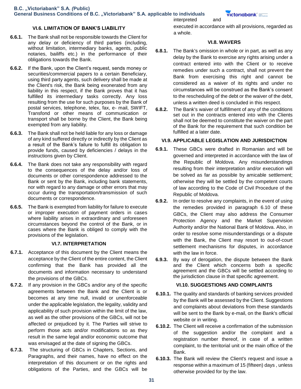### **VI.6. LIMITATION OF BANK'S LIABILITY**

- **6.6.1.** The Bank shall not be responsible towards the Client for any delay or deficiency of third parties (including, without limitation, intermediary banks, agents, public notaries, bailiffs etc.) in the performance of their obligations towards the Bank.
- **6.6.2.** If the Bank, upon the Client's request, sends money or securities/commercial papers to a certain Beneficiary, using third party agents, such delivery shall be made at the Client's risk, the Bank being exonerated from any liability in this respect, if the Bank proves that it has fulfilled its intermediary tasks correctly. Any loss resulting from the use for such purposes by the Bank of postal services, telephone, telex, fax, e- mail, SWIFT, Transfond or other means of communication or transport shall be borne by the Client, the Bank being exempted from any liability.
- **6.6.3.** The Bank shall not be held liable for any loss or damage of any kind suffered directly or indirectly by the Client as a result of the Bank's failure to fulfill its obligation to provide funds, caused by deficiencies / delays in the instructions given by Client.
- **6.6.4.** The Bank does not take any responsibility with regard to the consequences of the delay and/or loss of documents or other correspondence addressed to the Bank or sent by the Bank, including bank statements, nor with regard to any damage or other errors that may occur during the transportation/transmission of such documents or correspondence.
- **6.6.5.** The Bank is exempted from liability for failure to execute or improper execution of payment orders in cases where liability arises in extraordinary and unforeseen circumstances beyond the control of the Bank, or in cases where the Bank is obliged to comply with the provisions of the legislation.

### **VI.7. INTERPRETATION**

- **6.7.1.** Acceptance of this document by the Client means the acceptance by the Client of the entire content, the Client confirming that the Bank has provided all the documents and information necessary to understand the provisions of the GBCs.
- **6.7.2.** If any provision in the GBCs and/or any of the specific agreements between the Bank and the Client is or becomes at any time null, invalid or unenforceable under the applicable legislation, the legality, validity and applicability of such provision within the limit of the law, as well as the other provisions of the GBCs, will not be affected or prejudiced by it. The Parties will strive to perform those acts and/or modifications so as they result in the same legal and/or economic outcome that was envisaged at the date of signing the GBCs.
- **6.7.3.** The structuring of GBCs in Chapters, Sections, and Paragraphs, and their names, have no effect on the interpretation of this document or on the rights and obligations of the Parties, and the GBCs will be

executed in accordance with all provisions, regarded as a whole.

### **VI.8. WAVERS**

interpreted and

- **6.8.1.** The Bank's omission in whole or in part, as well as any delay by the Bank to exercise any rights arising under a contract entered into with the Client or to receive remedies under such a contract, shall not prevent the Bank from exercising this right and cannot be considered as a waiver of its rights and under no circumstances will be construed as the Bank's consent to the rescheduling of the debt or the waiver of the debt, unless a written deed is concluded in this respect.
- **6.8.2.** The Bank's waiver of fulfillment of any of the conditions set out in the contracts entered into with the Clients shall not be deemed to constitute the waiver on the part of the Bank for the requirement that such condition be fulfilled at a later date.

### **VI.9. APPLICABLE LEGISLATION AND JURISDICTION**

- **6.9.1.** These GBCs were drafted in Romanian and will be governed and interpreted in accordance with the law of the Republic of Moldova. Any misunderstandings resulting from their interpretation and/or execution will be solved as far as possible by amicable settlement; otherwise they will be settled by the competent courts of law according to the Code of Civil Procedure of the Republic of Moldova.
- **6.9.2.** In order to resolve any complaints, in the event of using the remedies provided in paragraph 6.10 of these GBCs, the Client may also address the Consumer Protection Agency and the Market Supervision Authority and/or the National Bank of Moldova. Also, in order to resolve some misunderstandings or a dispute with the Bank, the Client may resort to out-of-court settlement mechanisms for disputes, in accordance with the law in force.
- **6.9.3.** By way of derogation, the dispute between the Bank and the Client which concerns both a specific agreement and the GBCs will be settled according to the jurisdiction clause in that specific agreement.

### **VI.10. SUGGESTIONS AND COMPLAINTS**

- **6.10.1.** The quality and standards of banking services provided by the Bank will be assessed by the Client. Suggestions and complaints about deviations from these standards will be sent to the Bank by e-mail, on the Bank's official website or in writing.
- **6.10.2.** The Client will receive a confirmation of the submission of the suggestion and/or the complaint and a registration number thereof, in case of a written complaint, to the territorial unit or the main office of the Bank.
- **6.10.3.** The Bank will review the Client's request and issue a response within a maximum of 15 (fifteen) days , unless otherwise provided for by the law.